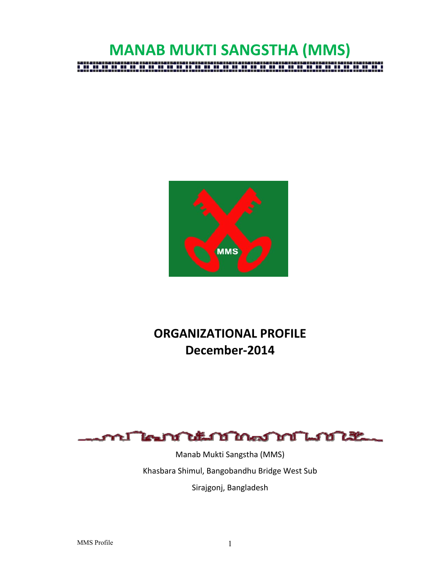# **MANAB MUKTI SANGSTHA (MMS)** an an an a ,,,,,,,,,,,,,,,,,,,,



# **ORGANIZATIONAL PROFILE December‐2014**



Manab Mukti Sangstha (MMS) Khasbara Shimul, Bangobandhu Bridge West Sub Sirajgonj, Bangladesh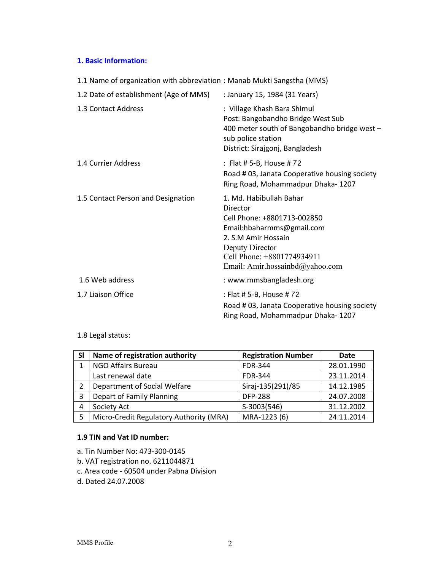# **1. Basic Information:**

| 1.1 Name of organization with abbreviation: Manab Mukti Sangstha (MMS)                                                                                                                                     |  |  |  |  |  |
|------------------------------------------------------------------------------------------------------------------------------------------------------------------------------------------------------------|--|--|--|--|--|
| : January 15, 1984 (31 Years)                                                                                                                                                                              |  |  |  |  |  |
| : Village Khash Bara Shimul<br>Post: Bangobandho Bridge West Sub<br>400 meter south of Bangobandho bridge west -<br>sub police station<br>District: Sirajgonj, Bangladesh                                  |  |  |  |  |  |
| : Flat # 5-B, House # 72<br>Road #03, Janata Cooperative housing society<br>Ring Road, Mohammadpur Dhaka-1207                                                                                              |  |  |  |  |  |
| 1. Md. Habibullah Bahar<br>Director<br>Cell Phone: +8801713-002850<br>Email:hbaharmms@gmail.com<br>2. S.M Amir Hossain<br>Deputy Director<br>Cell Phone: +8801774934911<br>Email: Amir.hossainbd@yahoo.com |  |  |  |  |  |
| : www.mmsbangladesh.org                                                                                                                                                                                    |  |  |  |  |  |
| : Flat # 5-B, House # 72<br>Road #03, Janata Cooperative housing society<br>Ring Road, Mohammadpur Dhaka-1207                                                                                              |  |  |  |  |  |
|                                                                                                                                                                                                            |  |  |  |  |  |

# 1.8 Legal status:

| SI | Name of registration authority          | <b>Registration Number</b> | Date       |
|----|-----------------------------------------|----------------------------|------------|
|    | NGO Affairs Bureau                      | <b>FDR-344</b>             | 28.01.1990 |
|    | Last renewal date                       | <b>FDR-344</b>             | 23.11.2014 |
| 2  | Department of Social Welfare            | Siraj-135(291)/85          | 14.12.1985 |
| 3  | Depart of Family Planning               | <b>DFP-288</b>             | 24.07.2008 |
| 4  | Society Act                             | S-3003(546)                | 31.12.2002 |
| 5  | Micro-Credit Regulatory Authority (MRA) | MRA-1223 (6)               | 24.11.2014 |

# **1.9 TIN and Vat ID number:**

- a. Tin Number No: 473‐300‐0145
- b. VAT registration no. 6211044871
- c. Area code ‐ 60504 under Pabna Division
- d. Dated 24.07.2008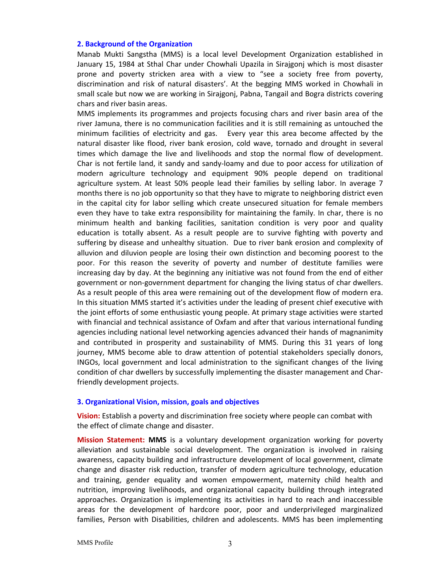#### **2. Background of the Organization**

Manab Mukti Sangstha (MMS) is a local level Development Organization established in January 15, 1984 at Sthal Char under Chowhali Upazila in Sirajgonj which is most disaster prone and poverty stricken area with a view to "see a society free from poverty, discrimination and risk of natural disasters'. At the begging MMS worked in Chowhali in small scale but now we are working in Sirajgonj, Pabna, Tangail and Bogra districts covering chars and river basin areas.

MMS implements its programmes and projects focusing chars and river basin area of the river Jamuna, there is no communication facilities and it is still remaining as untouched the minimum facilities of electricity and gas. Every year this area become affected by the natural disaster like flood, river bank erosion, cold wave, tornado and drought in several times which damage the live and livelihoods and stop the normal flow of development. Char is not fertile land, it sandy and sandy‐loamy and due to poor access for utilization of modern agriculture technology and equipment 90% people depend on traditional agriculture system. At least 50% people lead their families by selling labor. In average 7 months there is no job opportunity so that they have to migrate to neighboring district even in the capital city for labor selling which create unsecured situation for female members even they have to take extra responsibility for maintaining the family. In char, there is no minimum health and banking facilities, sanitation condition is very poor and quality education is totally absent. As a result people are to survive fighting with poverty and suffering by disease and unhealthy situation. Due to river bank erosion and complexity of alluvion and diluvion people are losing their own distinction and becoming poorest to the poor. For this reason the severity of poverty and number of destitute families were increasing day by day. At the beginning any initiative was not found from the end of either government or non‐government department for changing the living status of char dwellers. As a result people of this area were remaining out of the development flow of modern era. In this situation MMS started it's activities under the leading of present chief executive with the joint efforts of some enthusiastic young people. At primary stage activities were started with financial and technical assistance of Oxfam and after that various international funding agencies including national level networking agencies advanced their hands of magnanimity and contributed in prosperity and sustainability of MMS. During this 31 years of long journey, MMS become able to draw attention of potential stakeholders specially donors, INGOs, local government and local administration to the significant changes of the living condition of char dwellers by successfully implementing the disaster management and Char‐ friendly development projects.

#### **3. Organizational Vision, mission, goals and objectives**

**Vision:** Establish a poverty and discrimination free society where people can combat with the effect of climate change and disaster.

**Mission Statement: MMS** is a voluntary development organization working for poverty alleviation and sustainable social development. The organization is involved in raising awareness, capacity building and infrastructure development of local government, climate change and disaster risk reduction, transfer of modern agriculture technology, education and training, gender equality and women empowerment, maternity child health and nutrition, improving livelihoods, and organizational capacity building through integrated approaches. Organization is implementing its activities in hard to reach and inaccessible areas for the development of hardcore poor, poor and underprivileged marginalized families, Person with Disabilities, children and adolescents. MMS has been implementing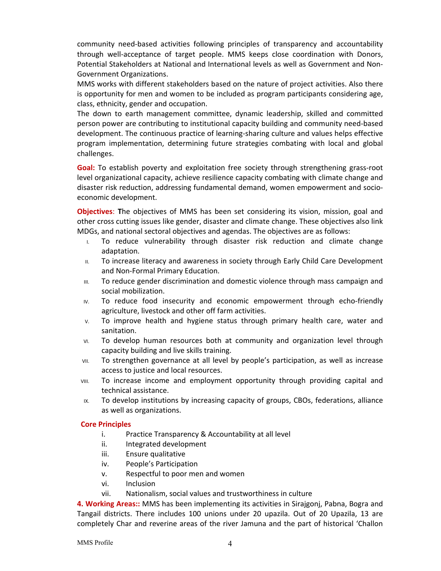community need‐based activities following principles of transparency and accountability through well-acceptance of target people. MMS keeps close coordination with Donors, Potential Stakeholders at National and International levels as well as Government and Non‐ Government Organizations.

MMS works with different stakeholders based on the nature of project activities. Also there is opportunity for men and women to be included as program participants considering age, class, ethnicity, gender and occupation.

The down to earth management committee, dynamic leadership, skilled and committed person power are contributing to institutional capacity building and community need‐based development. The continuous practice of learning‐sharing culture and values helps effective program implementation, determining future strategies combating with local and global challenges.

**Goal:** To establish poverty and exploitation free society through strengthening grass-root level organizational capacity, achieve resilience capacity combating with climate change and disaster risk reduction, addressing fundamental demand, women empowerment and socio‐ economic development.

**Objectives**: **T**he objectives of MMS has been set considering its vision, mission, goal and other cross cutting issues like gender, disaster and climate change. These objectives also link MDGs, and national sectoral objectives and agendas. The objectives are as follows:

- I. To reduce vulnerability through disaster risk reduction and climate change adaptation.
- II. To increase literacy and awareness in society through Early Child Care Development and Non‐Formal Primary Education.
- III. To reduce gender discrimination and domestic violence through mass campaign and social mobilization.
- IV. To reduce food insecurity and economic empowerment through echo-friendly agriculture, livestock and other off farm activities.
- V. To improve health and hygiene status through primary health care, water and sanitation.
- VI. To develop human resources both at community and organization level through capacity building and live skills training.
- VII. To strengthen governance at all level by people's participation, as well as increase access to justice and local resources.
- VIII. To increase income and employment opportunity through providing capital and technical assistance.
- IX. To develop institutions by increasing capacity of groups, CBOs, federations, alliance as well as organizations.

#### **Core Principles**

- i. Practice Transparency & Accountability at all level
- ii. Integrated development
- iii. Ensure qualitative
- iv. People's Participation
- v. Respectful to poor men and women
- vi. Inclusion
- vii. Nationalism, social values and trustworthiness in culture

**4. Working Areas::** MMS has been implementing its activities in Sirajgonj, Pabna, Bogra and Tangail districts. There includes 100 unions under 20 upazila. Out of 20 Upazila, 13 are completely Char and reverine areas of the river Jamuna and the part of historical 'Challon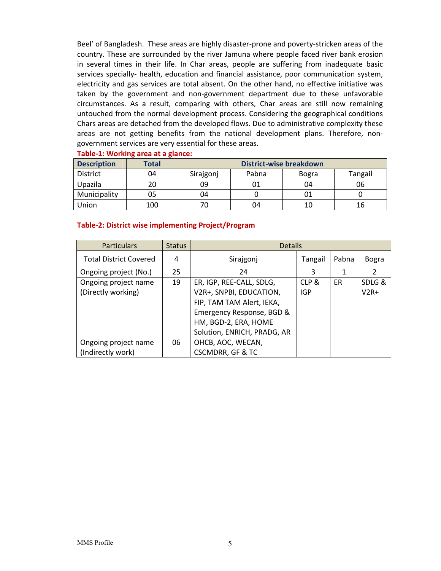Beel' of Bangladesh. These areas are highly disaster-prone and poverty-stricken areas of the country. These are surrounded by the river Jamuna where people faced river bank erosion in several times in their life. In Char areas, people are suffering from inadequate basic services specially- health, education and financial assistance, poor communication system, electricity and gas services are total absent. On the other hand, no effective initiative was taken by the government and non‐government department due to these unfavorable circumstances. As a result, comparing with others, Char areas are still now remaining untouched from the normal development process. Considering the geographical conditions Chars areas are detached from the developed flows. Due to administrative complexity these areas are not getting benefits from the national development plans. Therefore, nongovernment services are very essential for these areas.

| <b>Description</b> | <b>Total</b> | <b>District-wise breakdown</b> |       |              |         |  |
|--------------------|--------------|--------------------------------|-------|--------------|---------|--|
| <b>District</b>    | 04           | Sirajgonj                      | Pabna | <b>Bogra</b> | Tangail |  |
| Upazila            | 20           | 09                             |       | 04           | 06      |  |
| Municipality       | 05           | 04                             |       |              |         |  |
| Union              | 100          |                                | 04    | 10           | 16      |  |

#### **Table‐1: Working area at a glance:**

#### **Table‐2: District wise implementing Project/Program**

| <b>Particulars</b>                         | <b>Status</b> | <b>Details</b>                                                                                                                                                       |                     |       |                  |
|--------------------------------------------|---------------|----------------------------------------------------------------------------------------------------------------------------------------------------------------------|---------------------|-------|------------------|
| <b>Total District Covered</b>              | 4             | Sirajgonj                                                                                                                                                            | Tangail             | Pabna | <b>Bogra</b>     |
| Ongoing project (No.)                      | 25            | 24                                                                                                                                                                   | 3                   | 1     | 2                |
| Ongoing project name<br>(Directly working) | 19            | ER, IGP, REE-CALL, SDLG,<br>V2R+, SNPBI, EDUCATION,<br>FIP, TAM TAM Alert, IEKA,<br>Emergency Response, BGD &<br>HM, BGD-2, ERA, HOME<br>Solution, ENRICH, PRADG, AR | CLP &<br><b>IGP</b> | ER    | SDLG &<br>$V2R+$ |
| Ongoing project name<br>(Indirectly work)  | 06            | OHCB, AOC, WECAN,<br><b>CSCMDRR, GF &amp; TC</b>                                                                                                                     |                     |       |                  |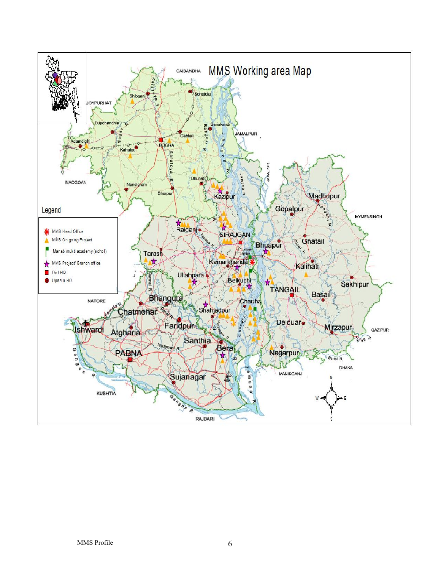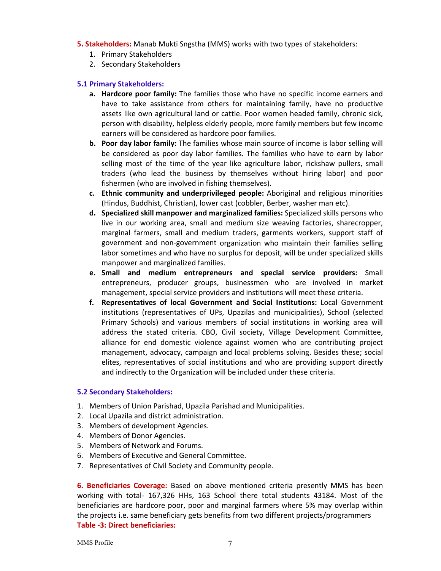- **5. Stakeholders:** Manab Mukti Sngstha (MMS) works with two types of stakeholders:
	- 1. Primary Stakeholders
	- 2. Secondary Stakeholders

### **5.1 Primary Stakeholders:**

- **a. Hardcore poor family:** The families those who have no specific income earners and have to take assistance from others for maintaining family, have no productive assets like own agricultural land or cattle. Poor women headed family, chronic sick, person with disability, helpless elderly people, more family members but few income earners will be considered as hardcore poor families.
- **b. Poor day labor family:** The families whose main source of income is labor selling will be considered as poor day labor families. The families who have to earn by labor selling most of the time of the year like agriculture labor, rickshaw pullers, small traders (who lead the business by themselves without hiring labor) and poor fishermen (who are involved in fishing themselves).
- **c. Ethnic community and underprivileged people:** Aboriginal and religious minorities (Hindus, Buddhist, Christian), lower cast (cobbler, Berber, washer man etc).
- **d. Specialized skill manpower and marginalized families:** Specialized skills persons who live in our working area, small and medium size weaving factories, sharecropper, marginal farmers, small and medium traders, garments workers, support staff of government and non‐government organization who maintain their families selling labor sometimes and who have no surplus for deposit, will be under specialized skills manpower and marginalized families.
- **e. Small and medium entrepreneurs and special service providers:** Small entrepreneurs, producer groups, businessmen who are involved in market management, special service providers and institutions will meet these criteria.
- **f. Representatives of local Government and Social Institutions:** Local Government institutions (representatives of UPs, Upazilas and municipalities), School (selected Primary Schools) and various members of social institutions in working area will address the stated criteria. CBO, Civil society, Village Development Committee, alliance for end domestic violence against women who are contributing project management, advocacy, campaign and local problems solving. Besides these; social elites, representatives of social institutions and who are providing support directly and indirectly to the Organization will be included under these criteria.

#### **5.2 Secondary Stakeholders:**

- 1. Members of Union Parishad, Upazila Parishad and Municipalities.
- 2. Local Upazila and district administration.
- 3. Members of development Agencies.
- 4. Members of Donor Agencies.
- 5. Members of Network and Forums.
- 6. Members of Executive and General Committee.
- 7. Representatives of Civil Society and Community people.

**6. Beneficiaries Coverage:** Based on above mentioned criteria presently MMS has been working with total‐ 167,326 HHs, 163 School there total students 43184. Most of the beneficiaries are hardcore poor, poor and marginal farmers where 5% may overlap within the projects i.e. same beneficiary gets benefits from two different projects/programmers **Table ‐3: Direct beneficiaries:**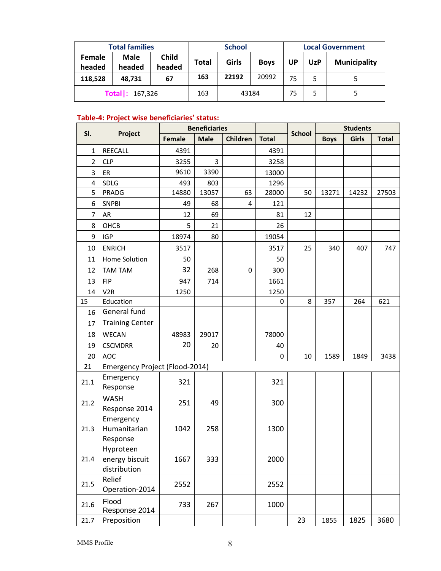|                         | <b>Total families</b><br><b>School</b> |                        | <b>Local Government</b> |       |             |           |            |                     |
|-------------------------|----------------------------------------|------------------------|-------------------------|-------|-------------|-----------|------------|---------------------|
| <b>Female</b><br>headed | <b>Male</b><br>headed                  | <b>Child</b><br>headed | Total                   | Girls | <b>Boys</b> | <b>UP</b> | <b>UzP</b> | <b>Municipality</b> |
| 118,528                 | 48.731                                 | 67                     | 163                     | 22192 | 20992       | 75        | 5          |                     |
|                         | <b>Total</b> : 167,326<br>163<br>43184 |                        |                         | 75    |             |           |            |                     |

# **Table‐4: Project wise beneficiaries' status:**

|                         |                                             |               | <b>Beneficiaries</b> |          |              |               | <b>Students</b> |              |              |
|-------------------------|---------------------------------------------|---------------|----------------------|----------|--------------|---------------|-----------------|--------------|--------------|
| SI.                     | Project                                     | <b>Female</b> | <b>Male</b>          | Children | <b>Total</b> | <b>School</b> | <b>Boys</b>     | <b>Girls</b> | <b>Total</b> |
| $\mathbf{1}$            | REECALL                                     | 4391          |                      |          | 4391         |               |                 |              |              |
| $\overline{2}$          | <b>CLP</b>                                  | 3255          | 3                    |          | 3258         |               |                 |              |              |
| 3                       | ER                                          | 9610          | 3390                 |          | 13000        |               |                 |              |              |
| $\overline{\mathbf{4}}$ | SDLG                                        | 493           | 803                  |          | 1296         |               |                 |              |              |
| 5                       | PRADG                                       | 14880         | 13057                | 63       | 28000        | 50            | 13271           | 14232        | 27503        |
| 6                       | <b>SNPBI</b>                                | 49            | 68                   | 4        | 121          |               |                 |              |              |
| $\overline{7}$          | AR                                          | 12            | 69                   |          | 81           | 12            |                 |              |              |
| 8                       | OHCB                                        | 5             | 21                   |          | 26           |               |                 |              |              |
| 9                       | <b>IGP</b>                                  | 18974         | 80                   |          | 19054        |               |                 |              |              |
| 10                      | <b>ENRICH</b>                               | 3517          |                      |          | 3517         | 25            | 340             | 407          | 747          |
| 11                      | Home Solution                               | 50            |                      |          | 50           |               |                 |              |              |
| 12                      | <b>TAM TAM</b>                              | 32            | 268                  | 0        | 300          |               |                 |              |              |
| 13                      | <b>FIP</b>                                  | 947           | 714                  |          | 1661         |               |                 |              |              |
| 14                      | V <sub>2R</sub>                             | 1250          |                      |          | 1250         |               |                 |              |              |
| 15                      | Education                                   |               |                      |          | 0            | 8             | 357             | 264          | 621          |
| 16                      | General fund                                |               |                      |          |              |               |                 |              |              |
| 17                      | <b>Training Center</b>                      |               |                      |          |              |               |                 |              |              |
| 18                      | <b>WECAN</b>                                | 48983         | 29017                |          | 78000        |               |                 |              |              |
| 19                      | <b>CSCMDRR</b>                              | 20            | 20                   |          | 40           |               |                 |              |              |
| 20                      | <b>AOC</b>                                  |               |                      |          | 0            | 10            | 1589            | 1849         | 3438         |
| 21                      | Emergency Project (Flood-2014)              |               |                      |          |              |               |                 |              |              |
| 21.1                    | Emergency<br>Response                       | 321           |                      |          | 321          |               |                 |              |              |
| 21.2                    | <b>WASH</b><br>Response 2014                | 251           | 49                   |          | 300          |               |                 |              |              |
| 21.3                    | Emergency<br>Humanitarian<br>Response       | 1042          | 258                  |          | 1300         |               |                 |              |              |
| 21.4                    | Hyproteen<br>energy biscuit<br>distribution | 1667          | 333                  |          | 2000         |               |                 |              |              |
| 21.5                    | Relief<br>Operation-2014                    | 2552          |                      |          | 2552         |               |                 |              |              |
| 21.6                    | Flood<br>Response 2014                      | 733           | 267                  |          | 1000         |               |                 |              |              |
| 21.7                    | Preposition                                 |               |                      |          |              | 23            | 1855            | 1825         | 3680         |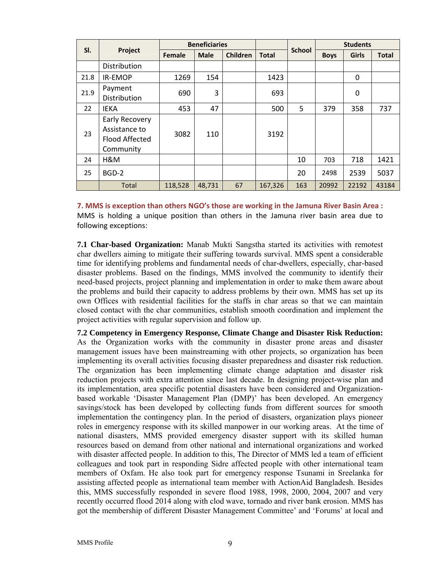|      |                                                                       | <b>Beneficiaries</b> |             |          |              |               | <b>Students</b> |              |              |
|------|-----------------------------------------------------------------------|----------------------|-------------|----------|--------------|---------------|-----------------|--------------|--------------|
| SI.  | Project                                                               | <b>Female</b>        | <b>Male</b> | Children | <b>Total</b> | <b>School</b> | <b>Boys</b>     | <b>Girls</b> | <b>Total</b> |
|      | Distribution                                                          |                      |             |          |              |               |                 |              |              |
| 21.8 | IR-EMOP                                                               | 1269                 | 154         |          | 1423         |               |                 | 0            |              |
| 21.9 | Payment<br>Distribution                                               | 690                  | 3           |          | 693          |               |                 | 0            |              |
| 22   | <b>IEKA</b>                                                           | 453                  | 47          |          | 500          | 5             | 379             | 358          | 737          |
| 23   | Early Recovery<br>Assistance to<br><b>Flood Affected</b><br>Community | 3082                 | 110         |          | 3192         |               |                 |              |              |
| 24   | H&M                                                                   |                      |             |          |              | 10            | 703             | 718          | 1421         |
| 25   | BGD-2                                                                 |                      |             |          |              | 20            | 2498            | 2539         | 5037         |
|      | <b>Total</b>                                                          | 118,528              | 48,731      | 67       | 167,326      | 163           | 20992           | 22192        | 43184        |

**7. MMS is exception than others NGO's those are working in the Jamuna River Basin Area :** MMS is holding a unique position than others in the Jamuna river basin area due to following exceptions:

**7.1 Char-based Organization:** Manab Mukti Sangstha started its activities with remotest char dwellers aiming to mitigate their suffering towards survival. MMS spent a considerable time for identifying problems and fundamental needs of char-dwellers, especially, char-based disaster problems. Based on the findings, MMS involved the community to identify their need-based projects, project planning and implementation in order to make them aware about the problems and build their capacity to address problems by their own. MMS has set up its own Offices with residential facilities for the staffs in char areas so that we can maintain closed contact with the char communities, establish smooth coordination and implement the project activities with regular supervision and follow up.

**7.2 Competency in Emergency Response, Climate Change and Disaster Risk Reduction:**  As the Organization works with the community in disaster prone areas and disaster management issues have been mainstreaming with other projects, so organization has been implementing its overall activities focusing disaster preparedness and disaster risk reduction. The organization has been implementing climate change adaptation and disaster risk reduction projects with extra attention since last decade. In designing project-wise plan and its implementation, area specific potential disasters have been considered and Organizationbased workable 'Disaster Management Plan (DMP)' has been developed. An emergency savings/stock has been developed by collecting funds from different sources for smooth implementation the contingency plan. In the period of disasters, organization plays pioneer roles in emergency response with its skilled manpower in our working areas. At the time of national disasters, MMS provided emergency disaster support with its skilled human resources based on demand from other national and international organizations and worked with disaster affected people. In addition to this, The Director of MMS led a team of efficient colleagues and took part in responding Sidre affected people with other international team members of Oxfam. He also took part for emergency response Tsunami in Sreelanka for assisting affected people as international team member with ActionAid Bangladesh. Besides this, MMS successfully responded in severe flood 1988, 1998, 2000, 2004, 2007 and very recently occurred flood 2014 along with clod wave, tornado and river bank erosion. MMS has got the membership of different Disaster Management Committee' and 'Forums' at local and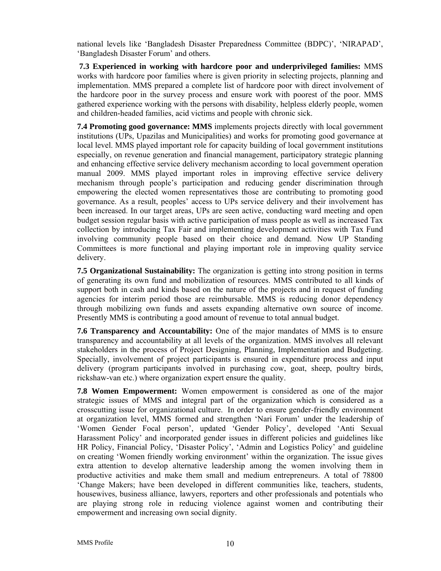national levels like 'Bangladesh Disaster Preparedness Committee (BDPC)', 'NIRAPAD', 'Bangladesh Disaster Forum' and others.

**7.3 Experienced in working with hardcore poor and underprivileged families:** MMS works with hardcore poor families where is given priority in selecting projects, planning and implementation. MMS prepared a complete list of hardcore poor with direct involvement of the hardcore poor in the survey process and ensure work with poorest of the poor. MMS gathered experience working with the persons with disability, helpless elderly people, women and children-headed families, acid victims and people with chronic sick.

**7.4 Promoting good governance: MMS** implements projects directly with local government institutions (UPs, Upazilas and Municipalities) and works for promoting good governance at local level. MMS played important role for capacity building of local government institutions especially, on revenue generation and financial management, participatory strategic planning and enhancing effective service delivery mechanism according to local government operation manual 2009. MMS played important roles in improving effective service delivery mechanism through people's participation and reducing gender discrimination through empowering the elected women representatives those are contributing to promoting good governance. As a result, peoples' access to UPs service delivery and their involvement has been increased. In our target areas, UPs are seen active, conducting ward meeting and open budget session regular basis with active participation of mass people as well as increased Tax collection by introducing Tax Fair and implementing development activities with Tax Fund involving community people based on their choice and demand. Now UP Standing Committees is more functional and playing important role in improving quality service delivery.

**7.5 Organizational Sustainability:** The organization is getting into strong position in terms of generating its own fund and mobilization of resources. MMS contributed to all kinds of support both in cash and kinds based on the nature of the projects and in request of funding agencies for interim period those are reimbursable. MMS is reducing donor dependency through mobilizing own funds and assets expanding alternative own source of income. Presently MMS is contributing a good amount of revenue to total annual budget.

**7.6 Transparency and Accountability:** One of the major mandates of MMS is to ensure transparency and accountability at all levels of the organization. MMS involves all relevant stakeholders in the process of Project Designing, Planning, Implementation and Budgeting. Specially, involvement of project participants is ensured in expenditure process and input delivery (program participants involved in purchasing cow, goat, sheep, poultry birds, rickshaw-van etc.) where organization expert ensure the quality.

**7.8 Women Empowerment:** Women empowerment is considered as one of the major strategic issues of MMS and integral part of the organization which is considered as a crosscutting issue for organizational culture. In order to ensure gender-friendly environment at organization level, MMS formed and strengthen 'Nari Forum' under the leadership of 'Women Gender Focal person', updated 'Gender Policy', developed 'Anti Sexual Harassment Policy' and incorporated gender issues in different policies and guidelines like HR Policy, Financial Policy, 'Disaster Policy', 'Admin and Logistics Policy' and guideline on creating 'Women friendly working environment' within the organization. The issue gives extra attention to develop alternative leadership among the women involving them in productive activities and make them small and medium entrepreneurs. A total of 78800 'Change Makers; have been developed in different communities like, teachers, students, housewives, business alliance, lawyers, reporters and other professionals and potentials who are playing strong role in reducing violence against women and contributing their empowerment and increasing own social dignity.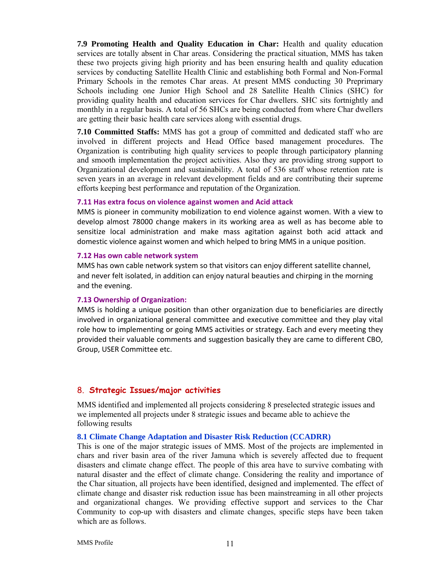**7.9 Promoting Health and Quality Education in Char:** Health and quality education services are totally absent in Char areas. Considering the practical situation, MMS has taken these two projects giving high priority and has been ensuring health and quality education services by conducting Satellite Health Clinic and establishing both Formal and Non-Formal Primary Schools in the remotes Char areas. At present MMS conducting 30 Preprimary Schools including one Junior High School and 28 Satellite Health Clinics (SHC) for providing quality health and education services for Char dwellers. SHC sits fortnightly and monthly in a regular basis. A total of 56 SHCs are being conducted from where Char dwellers are getting their basic health care services along with essential drugs.

**7.10 Committed Staffs:** MMS has got a group of committed and dedicated staff who are involved in different projects and Head Office based management procedures. The Organization is contributing high quality services to people through participatory planning and smooth implementation the project activities. Also they are providing strong support to Organizational development and sustainability. A total of 536 staff whose retention rate is seven years in an average in relevant development fields and are contributing their supreme efforts keeping best performance and reputation of the Organization.

# **7.11 Has extra focus on violence against women and Acid attack**

MMS is pioneer in community mobilization to end violence against women. With a view to develop almost 78000 change makers in its working area as well as has become able to sensitize local administration and make mass agitation against both acid attack and domestic violence against women and which helped to bring MMS in a unique position.

#### **7.12 Has own cable network system**

MMS has own cable network system so that visitors can enjoy different satellite channel, and never felt isolated, in addition can enjoy natural beauties and chirping in the morning and the evening.

# **7.13 Ownership of Organization:**

MMS is holding a unique position than other organization due to beneficiaries are directly involved in organizational general committee and executive committee and they play vital role how to implementing or going MMS activities or strategy. Each and every meeting they provided their valuable comments and suggestion basically they are came to different CBO, Group, USER Committee etc.

# 8. **Strategic Issues/major activities**

MMS identified and implemented all projects considering 8 preselected strategic issues and we implemented all projects under 8 strategic issues and became able to achieve the following results

# **8.1 Climate Change Adaptation and Disaster Risk Reduction (CCADRR)**

This is one of the major strategic issues of MMS. Most of the projects are implemented in chars and river basin area of the river Jamuna which is severely affected due to frequent disasters and climate change effect. The people of this area have to survive combating with natural disaster and the effect of climate change. Considering the reality and importance of the Char situation, all projects have been identified, designed and implemented. The effect of climate change and disaster risk reduction issue has been mainstreaming in all other projects and organizational changes. We providing effective support and services to the Char Community to cop-up with disasters and climate changes, specific steps have been taken which are as follows.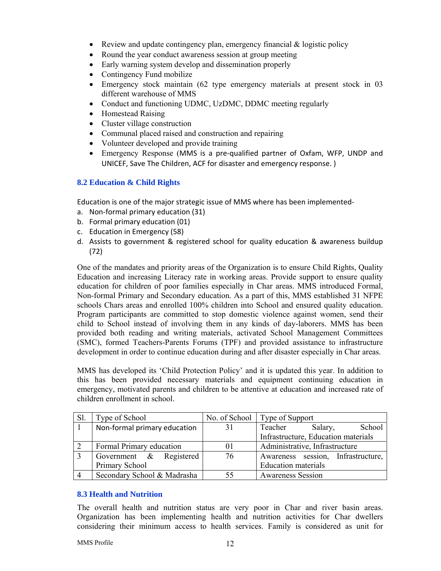- Review and update contingency plan, emergency financial  $\&$  logistic policy
- Round the year conduct awareness session at group meeting
- Early warning system develop and dissemination properly
- Contingency Fund mobilize
- Emergency stock maintain (62 type emergency materials at present stock in 03 different warehouse of MMS
- Conduct and functioning UDMC, UzDMC, DDMC meeting regularly
- Homestead Raising
- Cluster village construction
- Communal placed raised and construction and repairing
- Volunteer developed and provide training
- Emergency Response (MMS is a pre‐qualified partner of Oxfam, WFP, UNDP and UNICEF, Save The Children, ACF for disaster and emergency response. )

# **8.2 Education & Child Rights**

Education is one of the major strategic issue of MMS where has been implemented‐

- a. Non‐formal primary education (31)
- b. Formal primary education (01)
- c. Education in Emergency (58)
- d. Assists to government & registered school for quality education & awareness buildup (72)

One of the mandates and priority areas of the Organization is to ensure Child Rights, Quality Education and increasing Literacy rate in working areas. Provide support to ensure quality education for children of poor families especially in Char areas. MMS introduced Formal, Non-formal Primary and Secondary education. As a part of this, MMS established 31 NFPE schools Chars areas and enrolled 100% children into School and ensured quality education. Program participants are committed to stop domestic violence against women, send their child to School instead of involving them in any kinds of day-laborers. MMS has been provided both reading and writing materials, activated School Management Committees (SMC), formed Teachers-Parents Forums (TPF) and provided assistance to infrastructure development in order to continue education during and after disaster especially in Char areas.

MMS has developed its 'Child Protection Policy' and it is updated this year. In addition to this has been provided necessary materials and equipment continuing education in emergency, motivated parents and children to be attentive at education and increased rate of children enrollment in school.

| Type of School               |    | No. of School   Type of Support     |  |  |
|------------------------------|----|-------------------------------------|--|--|
| Non-formal primary education | 31 | School<br>Teacher<br>Salary,        |  |  |
|                              |    | Infrastructure, Education materials |  |  |
| Formal Primary education     | 01 | Administrative, Infrastructure      |  |  |
| Government & Registered      | 76 | Awareness session, Infrastructure,  |  |  |
| Primary School               |    | <b>Education</b> materials          |  |  |
| Secondary School & Madrasha  | 55 | <b>Awareness Session</b>            |  |  |

# **8.3 Health and Nutrition**

The overall health and nutrition status are very poor in Char and river basin areas. Organization has been implementing health and nutrition activities for Char dwellers considering their minimum access to health services. Family is considered as unit for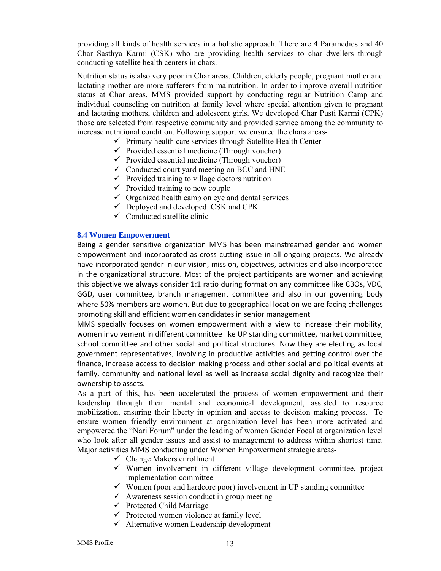providing all kinds of health services in a holistic approach. There are 4 Paramedics and 40 Char Sasthya Karmi (CSK) who are providing health services to char dwellers through conducting satellite health centers in chars.

Nutrition status is also very poor in Char areas. Children, elderly people, pregnant mother and lactating mother are more sufferers from malnutrition. In order to improve overall nutrition status at Char areas, MMS provided support by conducting regular Nutrition Camp and individual counseling on nutrition at family level where special attention given to pregnant and lactating mothers, children and adolescent girls. We developed Char Pusti Karmi (CPK) those are selected from respective community and provided service among the community to increase nutritional condition. Following support we ensured the chars areas-

- $\checkmark$  Primary health care services through Satellite Health Center
- $\checkmark$  Provided essential medicine (Through voucher)
- $\checkmark$  Provided essential medicine (Through voucher)
- $\checkmark$  Conducted court yard meeting on BCC and HNE
- $\checkmark$  Provided training to village doctors nutrition
- $\checkmark$  Provided training to new couple
- $\checkmark$  Organized health camp on eye and dental services
- $\checkmark$  Deployed and developed CSK and CPK
- $\checkmark$  Conducted satellite clinic

### **8.4 Women Empowerment**

Being a gender sensitive organization MMS has been mainstreamed gender and women empowerment and incorporated as cross cutting issue in all ongoing projects. We already have incorporated gender in our vision, mission, objectives, activities and also incorporated in the organizational structure. Most of the project participants are women and achieving this objective we always consider 1:1 ratio during formation any committee like CBOs, VDC, GGD, user committee, branch management committee and also in our governing body where 50% members are women. But due to geographical location we are facing challenges promoting skill and efficient women candidates in senior management

MMS specially focuses on women empowerment with a view to increase their mobility, women involvement in different committee like UP standing committee, market committee, school committee and other social and political structures. Now they are electing as local government representatives, involving in productive activities and getting control over the finance, increase access to decision making process and other social and political events at family, community and national level as well as increase social dignity and recognize their ownership to assets. 

As a part of this, has been accelerated the process of women empowerment and their leadership through their mental and economical development, assisted to resource mobilization, ensuring their liberty in opinion and access to decision making process. To ensure women friendly environment at organization level has been more activated and empowered the "Nari Forum" under the leading of women Gender Focal at organization level who look after all gender issues and assist to management to address within shortest time. Major activities MMS conducting under Women Empowerment strategic areas-

- $\checkmark$  Change Makers enrollment
- $\checkmark$  Women involvement in different village development committee, project implementation committee
- $\checkmark$  Women (poor and hardcore poor) involvement in UP standing committee
- $\checkmark$  Awareness session conduct in group meeting
- $\checkmark$  Protected Child Marriage
- $\checkmark$  Protected women violence at family level
- $\checkmark$  Alternative women Leadership development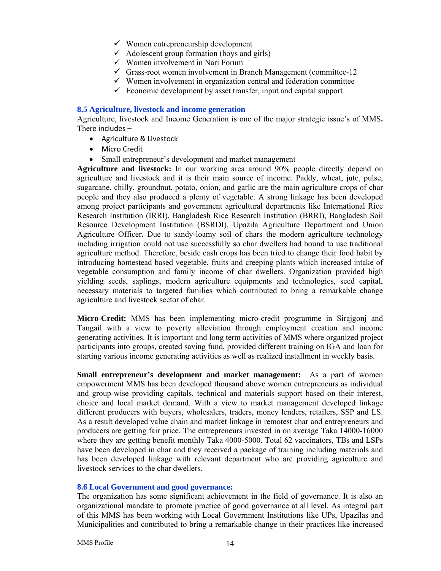- $\checkmark$  Women entrepreneurship development
- $\checkmark$  Adolescent group formation (boys and girls)
- $\checkmark$  Women involvement in Nari Forum
- $\checkmark$  Grass-root women involvement in Branch Management (committee-12)
- $\checkmark$  Women involvement in organization central and federation committee
- $\checkmark$  Economic development by asset transfer, input and capital support

# **8.5 Agriculture, livestock and income generation**

Agriculture, livestock and Income Generation is one of the major strategic issue's of MMS**.**  There includes –

- Agriculture & Livestock
- Micro Credit
- Small entrepreneur's development and market management

**Agriculture and livestock:** In our working area around 90% people directly depend on agriculture and livestock and it is their main source of income. Paddy, wheat, jute, pulse, sugarcane, chilly, groundnut, potato, onion, and garlic are the main agriculture crops of char people and they also produced a plenty of vegetable. A strong linkage has been developed among project participants and government agricultural departments like International Rice Research Institution (IRRI), Bangladesh Rice Research Institution (BRRI), Bangladesh Soil Resource Development Institution (BSRDI), Upazila Agriculture Department and Union Agriculture Officer. Due to sandy-loamy soil of chars the modern agriculture technology including irrigation could not use successfully so char dwellers had bound to use traditional agriculture method. Therefore, beside cash crops has been tried to change their food habit by introducing homestead based vegetable, fruits and creeping plants which increased intake of vegetable consumption and family income of char dwellers. Organization provided high yielding seeds, saplings, modern agriculture equipments and technologies, seed capital, necessary materials to targeted families which contributed to bring a remarkable change agriculture and livestock sector of char.

**Micro-Credit:** MMS has been implementing micro-credit programme in Sirajgonj and Tangail with a view to poverty alleviation through employment creation and income generating activities. It is important and long term activities of MMS where organized project participants into groups, created saving fund, provided different training on IGA and loan for starting various income generating activities as well as realized installment in weekly basis.

**Small entrepreneur's development and market management:** As a part of women empowerment MMS has been developed thousand above women entrepreneurs as individual and group-wise providing capitals, technical and materials support based on their interest, choice and local market demand. With a view to market management developed linkage different producers with buyers, wholesalers, traders, money lenders, retailers, SSP and LS. As a result developed value chain and market linkage in remotest char and entrepreneurs and producers are getting fair price. The entrepreneurs invested in on average Taka 14000-16000 where they are getting benefit monthly Taka 4000-5000. Total 62 vaccinators, TBs and LSPs have been developed in char and they received a package of training including materials and has been developed linkage with relevant department who are providing agriculture and livestock services to the char dwellers.

# **8.6 Local Government and good governance:**

The organization has some significant achievement in the field of governance. It is also an organizational mandate to promote practice of good governance at all level. As integral part of this MMS has been working with Local Government Institutions like UPs, Upazilas and Municipalities and contributed to bring a remarkable change in their practices like increased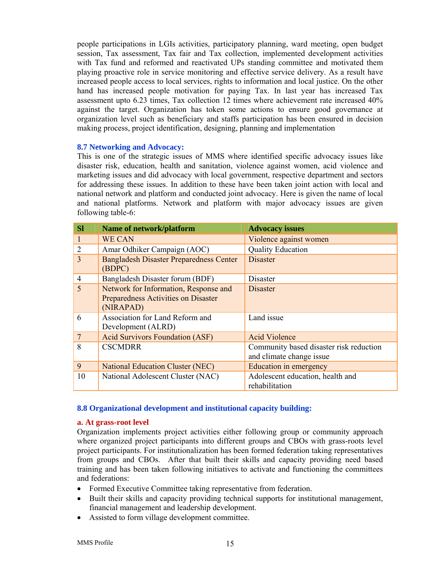people participations in LGIs activities, participatory planning, ward meeting, open budget session, Tax assessment, Tax fair and Tax collection, implemented development activities with Tax fund and reformed and reactivated UPs standing committee and motivated them playing proactive role in service monitoring and effective service delivery. As a result have increased people access to local services, rights to information and local justice. On the other hand has increased people motivation for paying Tax. In last year has increased Tax assessment upto 6.23 times, Tax collection 12 times where achievement rate increased 40% against the target. Organization has token some actions to ensure good governance at organization level such as beneficiary and staffs participation has been ensured in decision making process, project identification, designing, planning and implementation

# **8.7 Networking and Advocacy:**

This is one of the strategic issues of MMS where identified specific advocacy issues like disaster risk, education, health and sanitation, violence against women, acid violence and marketing issues and did advocacy with local government, respective department and sectors for addressing these issues. In addition to these have been taken joint action with local and national network and platform and conducted joint advocacy. Here is given the name of local and national platforms. Network and platform with major advocacy issues are given following table-6:

| <b>SI</b>      | Name of network/platform                                                                         | <b>Advocacy issues</b>                                              |
|----------------|--------------------------------------------------------------------------------------------------|---------------------------------------------------------------------|
|                | <b>WE CAN</b>                                                                                    | Violence against women                                              |
| $\overline{2}$ | Amar Odhiker Campaign (AOC)                                                                      | <b>Quality Education</b>                                            |
| 3              | <b>Bangladesh Disaster Preparedness Center</b><br>(BDPC)                                         | Disaster                                                            |
| $\overline{4}$ | Bangladesh Disaster forum (BDF)                                                                  | Disaster                                                            |
| 5              | Network for Information, Response and<br><b>Preparedness Activities on Disaster</b><br>(NIRAPAD) | Disaster                                                            |
| 6              | Association for Land Reform and<br>Development (ALRD)                                            | Land issue                                                          |
| $\overline{7}$ | <b>Acid Survivors Foundation (ASF)</b>                                                           | <b>Acid Violence</b>                                                |
| 8              | <b>CSCMDRR</b>                                                                                   | Community based disaster risk reduction<br>and climate change issue |
| 9              | <b>National Education Cluster (NEC)</b>                                                          | Education in emergency                                              |
| 10             | National Adolescent Cluster (NAC)                                                                | Adolescent education, health and<br>rehabilitation                  |

# **8.8 Organizational development and institutional capacity building:**

# **a. At grass-root level**

Organization implements project activities either following group or community approach where organized project participants into different groups and CBOs with grass-roots level project participants. For institutionalization has been formed federation taking representatives from groups and CBOs. After that built their skills and capacity providing need based training and has been taken following initiatives to activate and functioning the committees and federations:

- Formed Executive Committee taking representative from federation.
- Built their skills and capacity providing technical supports for institutional management, financial management and leadership development.
- Assisted to form village development committee.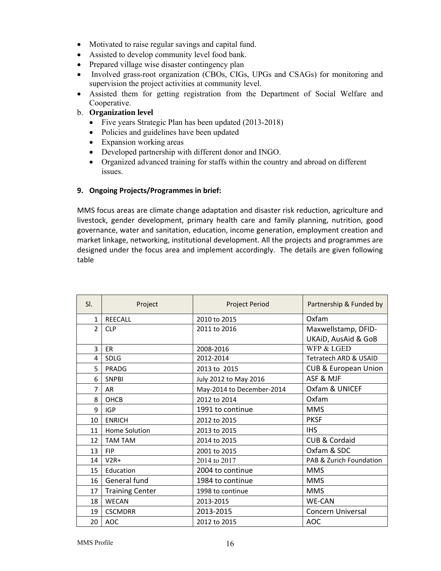- Motivated to raise regular savings and capital fund.
- Assisted to develop community level food bank.
- Prepared village wise disaster contingency plan
- Involved grass-root organization (CBOs, CIGs, UPGs and CSAGs) for monitoring and supervision the project activities at community level.
- Assisted them for getting registration from the Department of Social Welfare and Cooperative.

# b. **Organization level**

- Five years Strategic Plan has been updated (2013-2018)
- Policies and guidelines have been updated
- Expansion working areas
- Developed partnership with different donor and INGO.
- Organized advanced training for staffs within the country and abroad on different issues.

# **9. Ongoing Projects/Programmes in brief:**

MMS focus areas are climate change adaptation and disaster risk reduction, agriculture and livestock, gender development, primary health care and family planning, nutrition, good governance, water and sanitation, education, income generation, employment creation and market linkage, networking, institutional development. All the projects and programmes are designed under the focus area and implement accordingly. The details are given following table

| SI.            | Project                | <b>Project Period</b>     | Partnership & Funded by         |
|----------------|------------------------|---------------------------|---------------------------------|
| $\mathbf{1}$   | <b>REECALL</b>         | 2010 to 2015              | Oxfam                           |
| $\mathcal{P}$  | <b>CLP</b>             | 2011 to 2016              | Maxwellstamp, DFID-             |
|                |                        |                           | UKAID, AusAid & GoB             |
| $\overline{3}$ | <b>ER</b>              | 2008-2016                 | WFP & LGED                      |
| 4              | <b>SDLG</b>            | 2012-2014                 | Tetratech ARD & USAID           |
| 5              | PRADG                  | 2013 to 2015              | <b>CUB &amp; European Union</b> |
| 6              | <b>SNPBI</b>           | July 2012 to May 2016     | ASF & MJF                       |
| 7              | <b>AR</b>              | May-2014 to December-2014 | Oxfam & UNICEF                  |
| 8              | OHCB                   | 2012 to 2014              | Oxfam                           |
| 9              | <b>IGP</b>             | 1991 to continue          | <b>MMS</b>                      |
| 10             | <b>ENRICH</b>          | 2012 to 2015              | <b>PKSF</b>                     |
| 11             | Home Solution          | 2013 to 2015              | <b>IHS</b>                      |
| 12             | <b>TAM TAM</b>         | 2014 to 2015              | CUB & Cordaid                   |
| 13             | <b>FIP</b>             | 2001 to 2015              | Oxfam & SDC                     |
| 14             | $V2R+$                 | 2014 to 2017              | PAB & Zurich Foundation         |
| 15             | Education              | 2004 to continue          | <b>MMS</b>                      |
| 16             | General fund           | 1984 to continue          | <b>MMS</b>                      |
| 17             | <b>Training Center</b> | 1998 to continue          | <b>MMS</b>                      |
| 18             | <b>WECAN</b>           | 2013-2015                 | <b>WE-CAN</b>                   |
| 19             | <b>CSCMDRR</b>         | 2013-2015                 | Concern Universal               |
| 20             | AOC                    | 2012 to 2015              | <b>AOC</b>                      |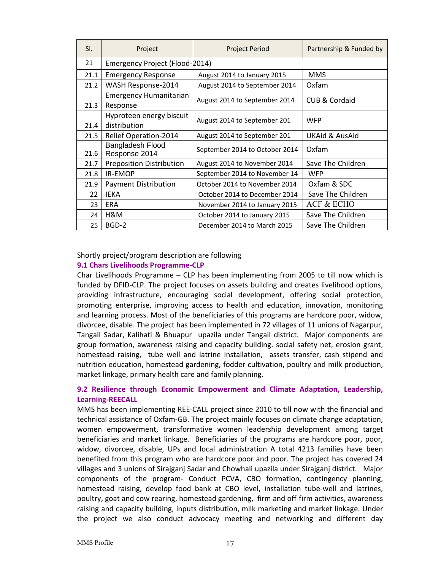| SI.  | Project                                   | Project Period                 | Partnership & Funded by   |
|------|-------------------------------------------|--------------------------------|---------------------------|
| 21   | Emergency Project (Flood-2014)            |                                |                           |
| 21.1 | <b>Emergency Response</b>                 | August 2014 to January 2015    | <b>MMS</b>                |
| 21.2 | WASH Response-2014                        | August 2014 to September 2014  | Oxfam                     |
| 21.3 | <b>Emergency Humanitarian</b><br>Response | August 2014 to September 2014  | CUB & Cordaid             |
| 21.4 | Hyproteen energy biscuit<br>distribution  | August 2014 to September 201   | <b>WFP</b>                |
| 21.5 | <b>Relief Operation-2014</b>              | August 2014 to September 201   | <b>UKAid &amp; AusAid</b> |
| 21.6 | Bangladesh Flood<br>Response 2014         | September 2014 to October 2014 | Oxfam                     |
| 21.7 | <b>Preposition Distribution</b>           | August 2014 to November 2014   | Save The Children         |
| 21.8 | <b>IR-EMOP</b>                            | September 2014 to November 14  | <b>WFP</b>                |
| 21.9 | <b>Payment Distribution</b>               | October 2014 to November 2014  | Oxfam & SDC               |
| 22   | <b>IEKA</b>                               | October 2014 to December 2014  | Save The Children         |
| 23   | <b>ERA</b>                                | November 2014 to January 2015  | <b>ACF &amp; ECHO</b>     |
| 24   | H&M                                       | October 2014 to January 2015   | Save The Children         |
| 25   | BGD-2                                     | December 2014 to March 2015    | Save The Children         |

# Shortly project/program description are following

# **9.1 Chars Livelihoods Programme‐CLP**

Char Livelihoods Programme – CLP has been implementing from 2005 to till now which is funded by DFID‐CLP. The project focuses on assets building and creates livelihood options, providing infrastructure, encouraging social development, offering social protection, promoting enterprise, improving access to health and education, innovation, monitoring and learning process. Most of the beneficiaries of this programs are hardcore poor, widow, divorcee, disable. The project has been implemented in 72 villages of 11 unions of Nagarpur, Tangail Sadar, Kalihati & Bhuapur upazila under Tangail district. Major components are group formation, awareness raising and capacity building. social safety net, erosion grant, homestead raising, tube well and latrine installation, assets transfer, cash stipend and nutrition education, homestead gardening, fodder cultivation, poultry and milk production, market linkage, primary health care and family planning.

# **9.2 Resilience through Economic Empowerment and Climate Adaptation, Leadership, Learning‐REECALL**

MMS has been implementing REE‐CALL project since 2010 to till now with the financial and technical assistance of Oxfam‐GB. The project mainly focuses on climate change adaptation, women empowerment, transformative women leadership development among target beneficiaries and market linkage. Beneficiaries of the programs are hardcore poor, poor, widow, divorcee, disable, UPs and local administration A total 4213 families have been benefited from this program who are hardcore poor and poor. The project has covered 24 villages and 3 unions of Sirajganj Sadar and Chowhali upazila under Sirajganj district. Major components of the program‐ Conduct PCVA, CBO formation, contingency planning, homestead raising, develop food bank at CBO level, installation tube‐well and latrines, poultry, goat and cow rearing, homestead gardening, firm and off‐firm activities, awareness raising and capacity building, inputs distribution, milk marketing and market linkage. Under the project we also conduct advocacy meeting and networking and different day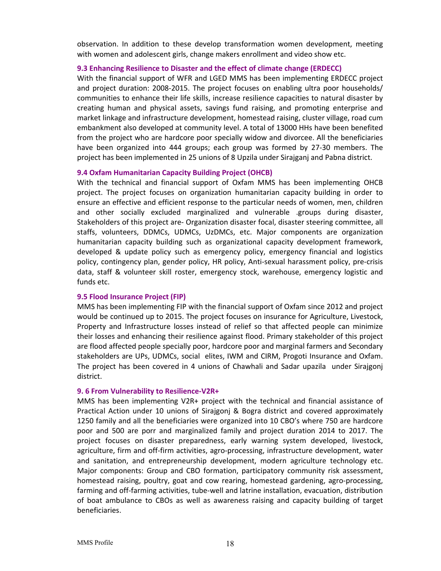observation. In addition to these develop transformation women development, meeting with women and adolescent girls, change makers enrollment and video show etc.

#### **9.3 Enhancing Resilience to Disaster and the effect of climate change (ERDECC)**

With the financial support of WFR and LGED MMS has been implementing ERDECC project and project duration: 2008-2015. The project focuses on enabling ultra poor households/ communities to enhance their life skills, increase resilience capacities to natural disaster by creating human and physical assets, savings fund raising, and promoting enterprise and market linkage and infrastructure development, homestead raising, cluster village, road cum embankment also developed at community level. A total of 13000 HHs have been benefited from the project who are hardcore poor specially widow and divorcee. All the beneficiaries have been organized into 444 groups; each group was formed by 27‐30 members. The project has been implemented in 25 unions of 8 Upzila under Sirajganj and Pabna district.

#### **9.4 Oxfam Humanitarian Capacity Building Project (OHCB)**

With the technical and financial support of Oxfam MMS has been implementing OHCB project. The project focuses on organization humanitarian capacity building in order to ensure an effective and efficient response to the particular needs of women, men, children and other socially excluded marginalized and vulnerable .groups during disaster, Stakeholders of this project are‐ Organization disaster focal, disaster steering committee, all staffs, volunteers, DDMCs, UDMCs, UzDMCs, etc. Major components are organization humanitarian capacity building such as organizational capacity development framework, developed & update policy such as emergency policy, emergency financial and logistics policy, contingency plan, gender policy, HR policy, Anti‐sexual harassment policy, pre‐crisis data, staff & volunteer skill roster, emergency stock, warehouse, emergency logistic and funds etc.

#### **9.5 Flood Insurance Project (FIP)**

MMS has been implementing FIP with the financial support of Oxfam since 2012 and project would be continued up to 2015. The project focuses on insurance for Agriculture, Livestock, Property and Infrastructure losses instead of relief so that affected people can minimize their losses and enhancing their resilience against flood. Primary stakeholder of this project are flood affected people specially poor, hardcore poor and marginal farmers and Secondary stakeholders are UPs, UDMCs, social elites, IWM and CIRM, Progoti Insurance and Oxfam. The project has been covered in 4 unions of Chawhali and Sadar upazila under Sirajgonj district.

#### **9. 6 From Vulnerability to Resilience‐V2R+**

MMS has been implementing V2R+ project with the technical and financial assistance of Practical Action under 10 unions of Sirajgonj & Bogra district and covered approximately 1250 family and all the beneficiaries were organized into 10 CBO's where 750 are hardcore poor and 500 are porr and marginalized family and project duration 2014 to 2017. The project focuses on disaster preparedness, early warning system developed, livestock, agriculture, firm and off‐firm activities, agro‐processing, infrastructure development, water and sanitation, and entrepreneurship development, modern agriculture technology etc. Major components: Group and CBO formation, participatory community risk assessment, homestead raising, poultry, goat and cow rearing, homestead gardening, agro-processing, farming and off-farming activities, tube-well and latrine installation, evacuation, distribution of boat ambulance to CBOs as well as awareness raising and capacity building of target beneficiaries.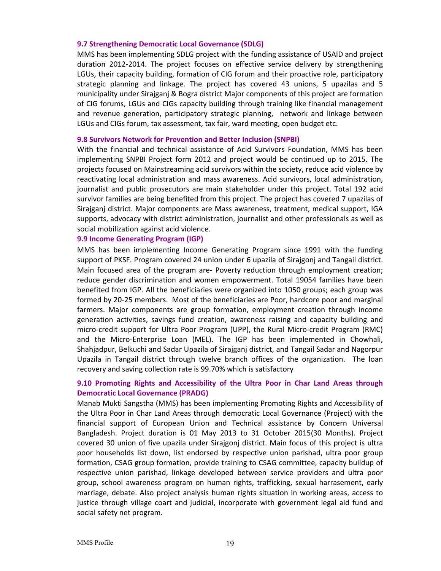## **9.7 Strengthening Democratic Local Governance (SDLG)**

MMS has been implementing SDLG project with the funding assistance of USAID and project duration 2012‐2014. The project focuses on effective service delivery by strengthening LGUs, their capacity building, formation of CIG forum and their proactive role, participatory strategic planning and linkage. The project has covered 43 unions, 5 upazilas and 5 municipality under Sirajganj & Bogra district Major components of this project are formation of CIG forums, LGUs and CIGs capacity building through training like financial management and revenue generation, participatory strategic planning, network and linkage between LGUs and CIGs forum, tax assessment, tax fair, ward meeting, open budget etc.

#### **9.8 Survivors Network for Prevention and Better Inclusion (SNPBI)**

With the financial and technical assistance of Acid Survivors Foundation, MMS has been implementing SNPBI Project form 2012 and project would be continued up to 2015. The projects focused on Mainstreaming acid survivors within the society, reduce acid violence by reactivating local administration and mass awareness. Acid survivors, local administration, journalist and public prosecutors are main stakeholder under this project. Total 192 acid survivor families are being benefited from this project. The project has covered 7 upazilas of Sirajganj district. Major components are Mass awareness, treatment, medical support, IGA supports, advocacy with district administration, journalist and other professionals as well as social mobilization against acid violence.

# **9.9 Income Generating Program (IGP)**

MMS has been implementing Income Generating Program since 1991 with the funding support of PKSF. Program covered 24 union under 6 upazila of Sirajgonj and Tangail district. Main focused area of the program are- Poverty reduction through employment creation; reduce gender discrimination and women empowerment. Total 19054 families have been benefited from IGP. All the beneficiaries were organized into 1050 groups; each group was formed by 20‐25 members. Most of the beneficiaries are Poor, hardcore poor and marginal farmers. Major components are group formation, employment creation through income generation activities, savings fund creation, awareness raising and capacity building and micro‐credit support for Ultra Poor Program (UPP), the Rural Micro‐credit Program (RMC) and the Micro‐Enterprise Loan (MEL). The IGP has been implemented in Chowhali, Shahjadpur, Belkuchi and Sadar Upazila of Sirajganj district, and Tangail Sadar and Nagorpur Upazila in Tangail district through twelve branch offices of the organization. The loan recovery and saving collection rate is 99.70% which is satisfactory

# **9.10 Promoting Rights and Accessibility of the Ultra Poor in Char Land Areas through Democratic Local Governance (PRADG)**

Manab Mukti Sangstha (MMS) has been implementing Promoting Rights and Accessibility of the Ultra Poor in Char Land Areas through democratic Local Governance (Project) with the financial support of European Union and Technical assistance by Concern Universal Bangladesh. Project duration is 01 May 2013 to 31 October 2015(30 Months). Project covered 30 union of five upazila under Sirajgonj district. Main focus of this project is ultra poor households list down, list endorsed by respective union parishad, ultra poor group formation, CSAG group formation, provide training to CSAG committee, capacity buildup of respective union parishad, linkage developed between service providers and ultra poor group, school awareness program on human rights, trafficking, sexual harrasement, early marriage, debate. Also project analysis human rights situation in working areas, access to justice through village coart and judicial, incorporate with government legal aid fund and social safety net program.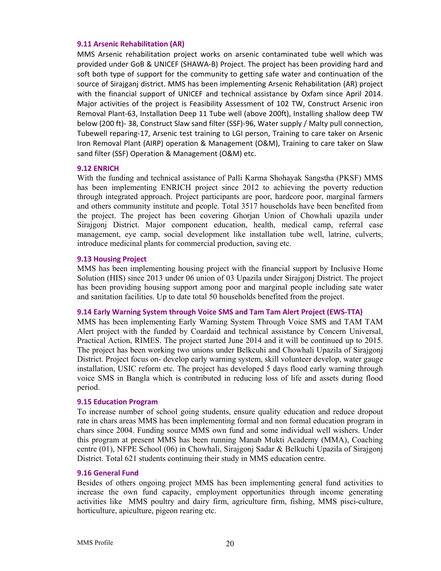# **9.11 Arsenic Rehabilitation (AR)**

MMS Arsenic rehabilitation project works on arsenic contaminated tube well which was provided under GoB & UNICEF (SHAWA‐B) Project. The project has been providing hard and soft both type of support for the community to getting safe water and continuation of the source of Sirajganj district. MMS has been implementing Arsenic Rehabilitation (AR) project with the financial support of UNICEF and technical assistance by Oxfam since April 2014. Major activities of the project is Feasibility Assessment of 102 TW, Construct Arsenic iron Removal Plant‐63, Installation Deep 11 Tube well (above 200ft), Installing shallow deep TW below (200 ft)-38, Construct Slaw sand filter (SSF)-96, Water supply / Malty pull connection, Tubewell reparing‐17, Arsenic test training to LGI person, Training to care taker on Arsenic Iron Removal Plant (AIRP) operation & Management (O&M), Training to care taker on Slaw sand filter (SSF) Operation & Management (O&M) etc.

# **9.12 ENRICH**

With the funding and technical assistance of Palli Karma Shohayak Sangstha (PKSF) MMS has been implementing ENRICH project since 2012 to achieving the poverty reduction through integrated approach. Project participants are poor, hardcore poor, marginal farmers and others community institute and people. Total 3517 households have been benefited from the project. The project has been covering Ghorjan Union of Chowhali upazila under Sirajgonj District. Major component education, health, medical camp, referral case management, eye camp, social development like installation tube well, latrine, culverts, introduce medicinal plants for commercial production, saving etc.

#### **9.13 Housing Project**

MMS has been implementing housing project with the financial support by Inclusive Home Solution (HIS) since 2013 under 06 union of 03 Upazila under Sirajgonj District. The project has been providing housing support among poor and marginal people including sate water and sanitation facilities. Up to date total 50 households benefited from the project.

#### **9.14 Early Warning System through Voice SMS and Tam Tam Alert Project (EWS‐TTA)**

MMS has been implementing Early Warning System Through Voice SMS and TAM TAM Alert project with the funded by Coardaid and technical assistance by Concern Universal, Practical Action, RIMES. The project started June 2014 and it will be continued up to 2015. The project has been working two unions under Belkcuhi and Chowhali Upazila of Sirajgonj District. Project focus on- develop early warning system, skill volunteer develop, water gauge installation, USIC reform etc. The project has developed 5 days flood early warning through voice SMS in Bangla which is contributed in reducing loss of life and assets during flood period.

#### **9.15 Education Program**

To increase number of school going students, ensure quality education and reduce dropout rate in chars areas MMS has been implementing formal and non formal education program in chars since 2004. Funding source MMS own fund and some individual well wishers. Under this program at present MMS has been running Manab Mukti Academy (MMA), Coaching centre (01), NFPE School (06) in Chowhali, Sirajgonj Sadar & Belkuchi Upazila of Sirajgonj District. Total 621 students continuing their study in MMS education centre.

#### **9.16 General Fund**

Besides of others ongoing project MMS has been implementing general fund activities to increase the own fund capacity, employment opportunities through income generating activities like MMS poultry and dairy firm, agriculture firm, fishing, MMS pisci-culture, horticulture, apiculture, pigeon rearing etc.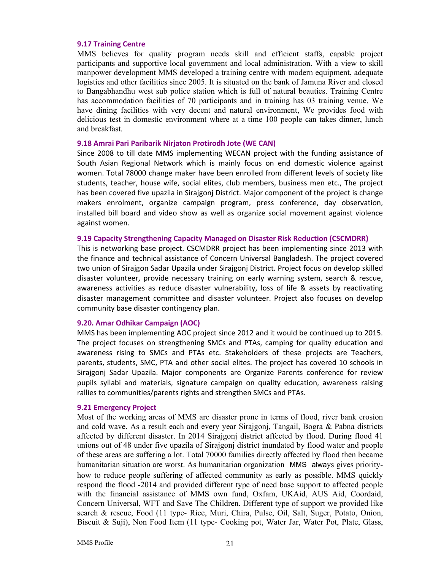#### **9.17 Training Centre**

MMS believes for quality program needs skill and efficient staffs, capable project participants and supportive local government and local administration. With a view to skill manpower development MMS developed a training centre with modern equipment, adequate logistics and other facilities since 2005. It is situated on the bank of Jamuna River and closed to Bangabhandhu west sub police station which is full of natural beauties. Training Centre has accommodation facilities of 70 participants and in training has 03 training venue. We have dining facilities with very decent and natural environment, We provides food with delicious test in domestic environment where at a time 100 people can takes dinner, lunch and breakfast.

# **9.18 Amrai Pari Paribarik Nirjaton Protirodh Jote (WE CAN)**

Since 2008 to till date MMS implementing WECAN project with the funding assistance of South Asian Regional Network which is mainly focus on end domestic violence against women. Total 78000 change maker have been enrolled from different levels of society like students, teacher, house wife, social elites, club members, business men etc., The project has been covered five upazila in Sirajgonj District. Major component of the project is change makers enrolment, organize campaign program, press conference, day observation, installed bill board and video show as well as organize social movement against violence against women.

## **9.19 Capacity Strengthening Capacity Managed on Disaster Risk Reduction (CSCMDRR)**

This is networking base project. CSCMDRR project has been implementing since 2013 with the finance and technical assistance of Concern Universal Bangladesh. The project covered two union of Sirajgon Sadar Upazila under Sirajgonj District. Project focus on develop skilled disaster volunteer, provide necessary training on early warning system, search & rescue, awareness activities as reduce disaster vulnerability, loss of life & assets by reactivating disaster management committee and disaster volunteer. Project also focuses on develop community base disaster contingency plan.

#### **9.20. Amar Odhikar Campaign (AOC)**

MMS has been implementing AOC project since 2012 and it would be continued up to 2015. The project focuses on strengthening SMCs and PTAs, camping for quality education and awareness rising to SMCs and PTAs etc. Stakeholders of these projects are Teachers, parents, students, SMC, PTA and other social elites. The project has covered 10 schools in Sirajgonj Sadar Upazila. Major components are Organize Parents conference for review pupils syllabi and materials, signature campaign on quality education, awareness raising rallies to communities/parents rights and strengthen SMCs and PTAs.

#### **9.21 Emergency Project**

Most of the working areas of MMS are disaster prone in terms of flood, river bank erosion and cold wave. As a result each and every year Sirajgonj, Tangail, Bogra & Pabna districts affected by different disaster. In 2014 Sirajgonj district affected by flood. During flood 41 unions out of 48 under five upazila of Sirajgonj district inundated by flood water and people of these areas are suffering a lot. Total 70000 families directly affected by flood then became humanitarian situation are worst. As humanitarian organization MMS always gives priorityhow to reduce people suffering of affected community as early as possible. MMS quickly respond the flood -2014 and provided different type of need base support to affected people with the financial assistance of MMS own fund, Oxfam, UKAid, AUS Aid, Coordaid, Concern Universal, WFT and Save The Children. Different type of support we provided like search & rescue, Food (11 type- Rice, Muri, Chira, Pulse, Oil, Salt, Suger, Potato, Onion, Biscuit & Suji), Non Food Item (11 type- Cooking pot, Water Jar, Water Pot, Plate, Glass,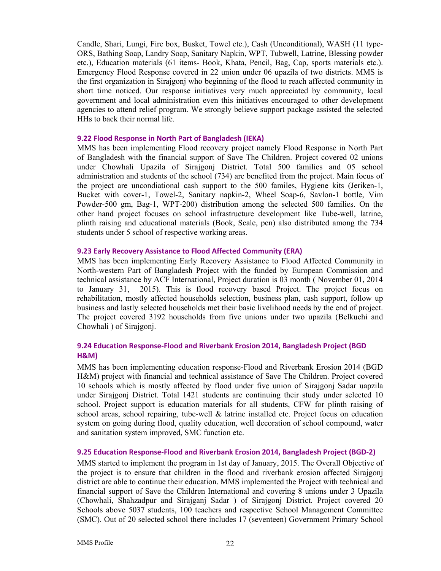Candle, Shari, Lungi, Fire box, Busket, Towel etc.), Cash (Unconditional), WASH (11 type-ORS, Bathing Soap, Landry Soap, Sanitary Napkin, WPT, Tubwell, Latrine, Blessing powder etc.), Education materials (61 items- Book, Khata, Pencil, Bag, Cap, sports materials etc.). Emergency Flood Response covered in 22 union under 06 upazila of two districts. MMS is the first organization in Sirajgonj who beginning of the flood to reach affected community in short time noticed. Our response initiatives very much appreciated by community, local government and local administration even this initiatives encouraged to other development agencies to attend relief program. We strongly believe support package assisted the selected HHs to back their normal life.

# **9.22 Flood Response in North Part of Bangladesh (IEKA)**

MMS has been implementing Flood recovery project namely Flood Response in North Part of Bangladesh with the financial support of Save The Children. Project covered 02 unions under Chowhali Upazila of Sirajgonj District. Total 500 families and 05 school administration and students of the school (734) are benefited from the project. Main focus of the project are uncondiational cash support to the 500 familes, Hygiene kits (Jeriken-1, Bucket with cover-1, Towel-2, Sanitary napkin-2, Wheel Soap-6, Savlon-1 bottle, Vim Powder-500 gm, Bag-1, WPT-200) distribution among the selected 500 families. On the other hand project focuses on school infrastructure development like Tube-well, latrine, plinth raising and educational materials (Book, Scale, pen) also distributed among the 734 students under 5 school of respective working areas.

# **9.23 Early Recovery Assistance to Flood Affected Community (ERA)**

MMS has been implementing Early Recovery Assistance to Flood Affected Community in North-western Part of Bangladesh Project with the funded by European Commission and technical assistance by ACF International, Project duration is 03 month ( November 01, 2014 to January 31, 2015). This is flood recovery based Project. The project focus on rehabilitation, mostly affected households selection, business plan, cash support, follow up business and lastly selected households met their basic livelihood needs by the end of project. The project covered 3192 households from five unions under two upazila (Belkuchi and Chowhali ) of Sirajgonj.

# **9.24 Education Response‐Flood and Riverbank Erosion 2014, Bangladesh Project (BGD H&M)**

MMS has been implementing education response-Flood and Riverbank Erosion 2014 (BGD H&M) project with financial and technical assistance of Save The Children. Project covered 10 schools which is mostly affected by flood under five union of Sirajgonj Sadar uapzila under Sirajgonj District. Total 1421 students are continuing their study under selected 10 school. Project support is education materials for all students, CFW for plinth raising of school areas, school repairing, tube-well & latrine installed etc. Project focus on education system on going during flood, quality education, well decoration of school compound, water and sanitation system improved, SMC function etc.

# **9.25 Education Response‐Flood and Riverbank Erosion 2014, Bangladesh Project (BGD‐2)**

MMS started to implement the program in 1st day of January, 2015. The Overall Objective of the project is to ensure that children in the flood and riverbank erosion affected Sirajgonj district are able to continue their education. MMS implemented the Project with technical and financial support of Save the Children International and covering 8 unions under 3 Upazila (Chowhali, Shahzadpur and Sirajganj Sadar ) of Sirajgonj District. Project covered 20 Schools above 5037 students, 100 teachers and respective School Management Committee (SMC). Out of 20 selected school there includes 17 (seventeen) Government Primary School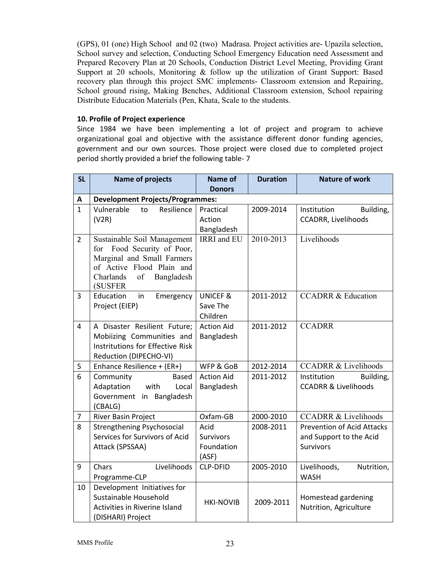(GPS), 01 (one) High School and 02 (two) Madrasa. Project activities are- Upazila selection, School survey and selection, Conducting School Emergency Education need Assessment and Prepared Recovery Plan at 20 Schools, Conduction District Level Meeting, Providing Grant Support at 20 schools, Monitoring & follow up the utilization of Grant Support: Based recovery plan through this project SMC implements- Classroom extension and Repairing, School ground rising, Making Benches, Additional Classroom extension, School repairing Distribute Education Materials (Pen, Khata, Scale to the students.

# **10. Profile of Project experience**

Since 1984 we have been implementing a lot of project and program to achieve organizational goal and objective with the assistance different donor funding agencies, government and our own sources. Those project were closed due to completed project period shortly provided a brief the following table‐ 7

| <b>SL</b>      | <b>Name of projects</b>                  | <b>Name of</b>      | <b>Duration</b> | <b>Nature of work</b>             |
|----------------|------------------------------------------|---------------------|-----------------|-----------------------------------|
|                |                                          | <b>Donors</b>       |                 |                                   |
| Α              | <b>Development Projects/Programmes:</b>  |                     |                 |                                   |
| $\mathbf{1}$   | Vulnerable<br>Resilience<br>to           | Practical           | 2009-2014       | Institution<br>Building,          |
|                | (V2R)                                    | Action              |                 | CCADRR, Livelihoods               |
|                |                                          | Bangladesh          |                 |                                   |
| $\overline{2}$ | Sustainable Soil Management              | IRRI and EU         | 2010-2013       | Livelihoods                       |
|                | for Food Security of Poor,               |                     |                 |                                   |
|                | Marginal and Small Farmers               |                     |                 |                                   |
|                | of Active Flood Plain and                |                     |                 |                                   |
|                | Charlands<br>of<br>Bangladesh<br>(SUSFER |                     |                 |                                   |
| 3              | Education<br>Emergency<br>in             | <b>UNICEF &amp;</b> | 2011-2012       | <b>CCADRR &amp; Education</b>     |
|                | Project (EIEP)                           | Save The            |                 |                                   |
|                |                                          | Children            |                 |                                   |
| 4              | A Disaster Resilient Future;             | <b>Action Aid</b>   | 2011-2012       | <b>CCADRR</b>                     |
|                | Mobiizing Communities and                | Bangladesh          |                 |                                   |
|                | Instritutions for Effective Risk         |                     |                 |                                   |
|                | Reduction (DIPECHO-VI)                   |                     |                 |                                   |
| 5              | Enhance Resilience + (ER+)               | WFP & GoB           | 2012-2014       | <b>CCADRR &amp; Livelihoods</b>   |
| 6              | Community<br>Based                       | <b>Action Aid</b>   | 2011-2012       | Building,<br>Institution          |
|                | Adaptation<br>with<br>Local              | Bangladesh          |                 | <b>CCADRR &amp; Livelihoods</b>   |
|                | Government in Bangladesh                 |                     |                 |                                   |
|                | (CBALG)                                  |                     |                 |                                   |
| 7              | River Basin Project                      | Oxfam-GB            | 2000-2010       | <b>CCADRR &amp; Livelihoods</b>   |
| 8              | <b>Strengthening Psychosocial</b>        | Acid                | 2008-2011       | <b>Prevention of Acid Attacks</b> |
|                | Services for Survivors of Acid           | <b>Survivors</b>    |                 | and Support to the Acid           |
|                | Attack (SPSSAA)                          | Foundation          |                 | <b>Survivors</b>                  |
|                |                                          | (ASF)               |                 |                                   |
| 9              | Livelihoods<br>Chars                     | <b>CLP-DFID</b>     | 2005-2010       | Livelihoods,<br>Nutrition,        |
|                | Programme-CLP                            |                     |                 | <b>WASH</b>                       |
| 10             | Development Initiatives for              |                     |                 |                                   |
|                | Sustainable Household                    | <b>HKI-NOVIB</b>    | 2009-2011       | Homestead gardening               |
|                | Activities in Riverine Island            |                     |                 | Nutrition, Agriculture            |
|                | (DISHARI) Project                        |                     |                 |                                   |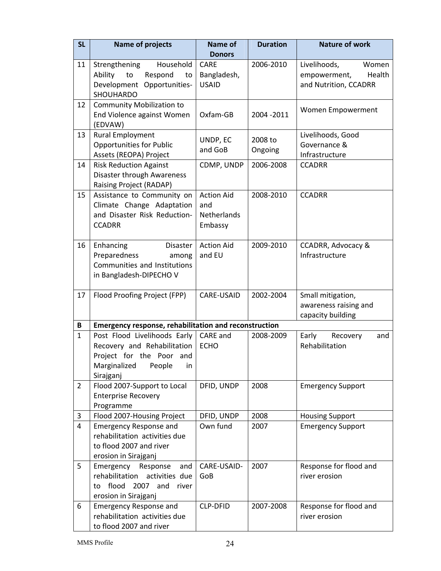| <b>SL</b>      | <b>Name of projects</b>                                                                                                              | <b>Name of</b>                                            | <b>Duration</b>    | <b>Nature of work</b>                                                    |  |
|----------------|--------------------------------------------------------------------------------------------------------------------------------------|-----------------------------------------------------------|--------------------|--------------------------------------------------------------------------|--|
|                |                                                                                                                                      | <b>Donors</b>                                             |                    |                                                                          |  |
| 11             | Household<br>Strengthening<br>Ability<br>Respond<br>to<br>to<br>Development Opportunities-<br>SHOUHARDO                              | <b>CARE</b><br>Bangladesh,<br><b>USAID</b>                | 2006-2010          | Livelihoods,<br>Women<br>empowerment,<br>Health<br>and Nutrition, CCADRR |  |
| 12             | <b>Community Mobilization to</b><br>End Violence against Women<br>(EDVAW)                                                            | Oxfam-GB                                                  | 2004 - 2011        | Women Empowerment                                                        |  |
| 13             | Rural Employment<br><b>Opportunities for Public</b><br>Assets (REOPA) Project                                                        | UNDP, EC<br>and GoB                                       | 2008 to<br>Ongoing | Livelihoods, Good<br>Governance &<br>Infrastructure                      |  |
| 14             | <b>Risk Reduction Against</b><br>Disaster through Awareness<br>Raising Project (RADAP)                                               | CDMP, UNDP                                                | 2006-2008          | <b>CCADRR</b>                                                            |  |
| 15             | Assistance to Community on<br>Climate Change Adaptation<br>and Disaster Risk Reduction-<br><b>CCADRR</b>                             | <b>Action Aid</b><br>and<br><b>Netherlands</b><br>Embassy | 2008-2010          | <b>CCADRR</b>                                                            |  |
| 16             | Enhancing<br>Disaster<br>Preparedness<br>among<br>Communities and Institutions<br>in Bangladesh-DIPECHO V                            | <b>Action Aid</b><br>and EU                               | 2009-2010          | <b>CCADRR, Advocacy &amp;</b><br>Infrastructure                          |  |
| 17             | Flood Proofing Project (FPP)                                                                                                         | CARE-USAID                                                | 2002-2004          | Small mitigation,<br>awareness raising and<br>capacity building          |  |
| B              | <b>Emergency response, rehabilitation and reconstruction</b>                                                                         |                                                           |                    |                                                                          |  |
| $\mathbf{1}$   | Post Flood Livelihoods Early<br>Recovery and Rehabilitation<br>Project for the Poor and<br>Marginalized<br>People<br>in<br>Sirajganj | CARE and<br><b>ECHO</b>                                   | 2008-2009          | Early<br>Recovery<br>and<br>Rehabilitation                               |  |
| $\overline{2}$ | Flood 2007-Support to Local<br><b>Enterprise Recovery</b><br>Programme                                                               | DFID, UNDP                                                | 2008               | <b>Emergency Support</b>                                                 |  |
| 3              | Flood 2007-Housing Project                                                                                                           | DFID, UNDP                                                | 2008               | <b>Housing Support</b>                                                   |  |
| 4              | <b>Emergency Response and</b><br>rehabilitation activities due<br>to flood 2007 and river<br>erosion in Sirajganj                    | Own fund                                                  | 2007               | <b>Emergency Support</b>                                                 |  |
| 5              | Emergency<br>and<br>Response<br>rehabilitation<br>activities due<br>flood 2007 and<br>to<br>river<br>erosion in Sirajganj            | CARE-USAID-<br>GoB                                        | 2007               | Response for flood and<br>river erosion                                  |  |
| 6              | <b>Emergency Response and</b><br>rehabilitation activities due<br>to flood 2007 and river                                            | <b>CLP-DFID</b>                                           | 2007-2008          | Response for flood and<br>river erosion                                  |  |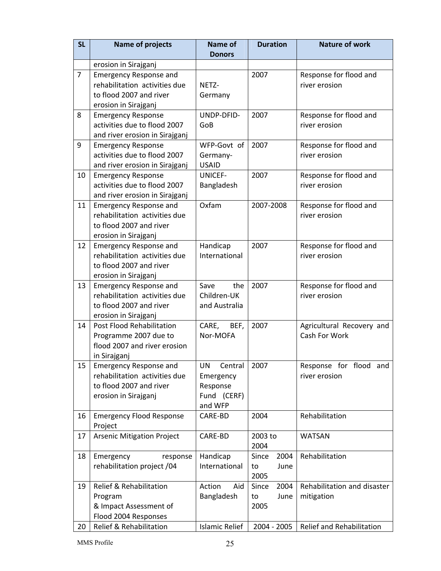| <b>SL</b>      | <b>Name of projects</b>                                  | <b>Name of</b><br><b>Donors</b> | <b>Duration</b> | <b>Nature of work</b>       |
|----------------|----------------------------------------------------------|---------------------------------|-----------------|-----------------------------|
|                | erosion in Sirajganj                                     |                                 |                 |                             |
| $\overline{7}$ | <b>Emergency Response and</b>                            |                                 | 2007            | Response for flood and      |
|                | rehabilitation activities due                            | NETZ-                           |                 | river erosion               |
|                | to flood 2007 and river                                  | Germany                         |                 |                             |
|                | erosion in Sirajganj                                     |                                 |                 |                             |
| 8              | <b>Emergency Response</b>                                | UNDP-DFID-                      | 2007            | Response for flood and      |
|                | activities due to flood 2007                             | GoB                             |                 | river erosion               |
|                | and river erosion in Sirajganj                           |                                 |                 |                             |
| 9              | <b>Emergency Response</b>                                | WFP-Govt of                     | 2007            | Response for flood and      |
|                | activities due to flood 2007                             | Germany-                        |                 | river erosion               |
|                | and river erosion in Sirajganj                           | <b>USAID</b>                    |                 |                             |
| 10             | <b>Emergency Response</b>                                | <b>UNICEF-</b>                  | 2007            | Response for flood and      |
|                | activities due to flood 2007                             | Bangladesh                      |                 | river erosion               |
|                | and river erosion in Sirajganj                           |                                 |                 |                             |
| 11             | <b>Emergency Response and</b>                            | Oxfam                           | 2007-2008       | Response for flood and      |
|                | rehabilitation activities due                            |                                 |                 | river erosion               |
|                | to flood 2007 and river                                  |                                 |                 |                             |
|                | erosion in Sirajganj                                     |                                 |                 |                             |
| 12             | <b>Emergency Response and</b>                            | Handicap                        | 2007            | Response for flood and      |
|                | rehabilitation activities due<br>to flood 2007 and river | International                   |                 | river erosion               |
|                | erosion in Sirajganj                                     |                                 |                 |                             |
| 13             | <b>Emergency Response and</b>                            | Save<br>the                     | 2007            | Response for flood and      |
|                | rehabilitation activities due                            | Children-UK                     |                 | river erosion               |
|                | to flood 2007 and river                                  | and Australia                   |                 |                             |
|                | erosion in Sirajganj                                     |                                 |                 |                             |
| 14             | Post Flood Rehabilitation                                | CARE,<br>BEF,                   | 2007            | Agricultural Recovery and   |
|                | Programme 2007 due to                                    | Nor-MOFA                        |                 | Cash For Work               |
|                | flood 2007 and river erosion                             |                                 |                 |                             |
|                | in Sirajganj                                             |                                 |                 |                             |
| 15             | <b>Emergency Response and</b>                            | UN<br>Central                   | 2007            | Response for flood and      |
|                | rehabilitation activities due                            | Emergency                       |                 | river erosion               |
|                | to flood 2007 and river                                  | Response                        |                 |                             |
|                | erosion in Sirajganj                                     | Fund (CERF)                     |                 |                             |
|                |                                                          | and WFP                         |                 |                             |
| 16             | <b>Emergency Flood Response</b><br>Project               | CARE-BD                         | 2004            | Rehabilitation              |
| 17             | <b>Arsenic Mitigation Project</b>                        | CARE-BD                         | 2003 to         | <b>WATSAN</b>               |
|                |                                                          |                                 | 2004            |                             |
| 18             | Emergency<br>response                                    | Handicap                        | Since<br>2004   | Rehabilitation              |
|                | rehabilitation project /04                               | International                   | to<br>June      |                             |
|                |                                                          |                                 | 2005            |                             |
| 19             | Relief & Rehabilitation                                  | Action<br>Aid                   | 2004<br>Since   | Rehabilitation and disaster |
|                | Program                                                  | Bangladesh                      | June<br>to      | mitigation                  |
|                | & Impact Assessment of                                   |                                 | 2005            |                             |
|                | Flood 2004 Responses                                     |                                 |                 |                             |
| 20             | <b>Relief &amp; Rehabilitation</b>                       | <b>Islamic Relief</b>           | 2004 - 2005     | Relief and Rehabilitation   |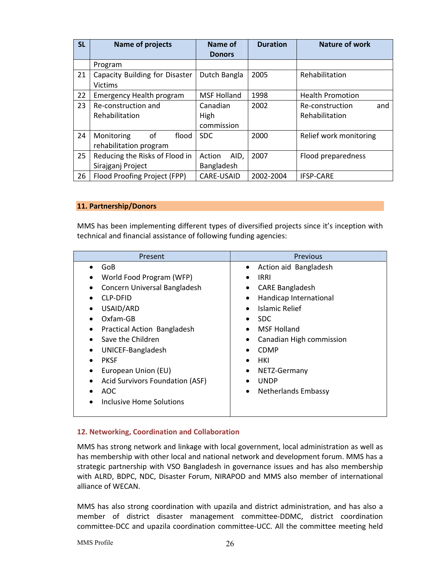| <b>SL</b> | <b>Name of projects</b>         | Name of            | <b>Duration</b>         | <b>Nature of work</b>   |  |
|-----------|---------------------------------|--------------------|-------------------------|-------------------------|--|
|           |                                 | <b>Donors</b>      |                         |                         |  |
|           | Program                         |                    |                         |                         |  |
| 21        | Capacity Building for Disaster  | Dutch Bangla       | 2005                    | Rehabilitation          |  |
|           | <b>Victims</b>                  |                    |                         |                         |  |
| 22        | <b>Emergency Health program</b> | <b>MSF Holland</b> | 1998                    | <b>Health Promotion</b> |  |
| 23        | Re-construction and             | Canadian           | 2002<br>Re-construction |                         |  |
|           | Rehabilitation                  | High               |                         | Rehabilitation          |  |
|           |                                 | commission         |                         |                         |  |
| 24        | of<br>Monitoring<br>flood       | <b>SDC</b>         | 2000                    | Relief work monitoring  |  |
|           | rehabilitation program          |                    |                         |                         |  |
| 25        | Reducing the Risks of Flood in  | AID,<br>Action     | 2007                    | Flood preparedness      |  |
|           | Sirajganj Project               | Bangladesh         |                         |                         |  |
| 26        | Flood Proofing Project (FPP)    | CARE-USAID         | 2002-2004               | <b>IFSP-CARE</b>        |  |

# **11. Partnership/Donors**

MMS has been implementing different types of diversified projects since it's inception with technical and financial assistance of following funding agencies:

# **12. Networking, Coordination and Collaboration**

MMS has strong network and linkage with local government, local administration as well as has membership with other local and national network and development forum. MMS has a strategic partnership with VSO Bangladesh in governance issues and has also membership with ALRD, BDPC, NDC, Disaster Forum, NIRAPOD and MMS also member of international alliance of WECAN.

MMS has also strong coordination with upazila and district administration, and has also a member of district disaster management committee‐DDMC, district coordination committee‐DCC and upazila coordination committee‐UCC. All the committee meeting held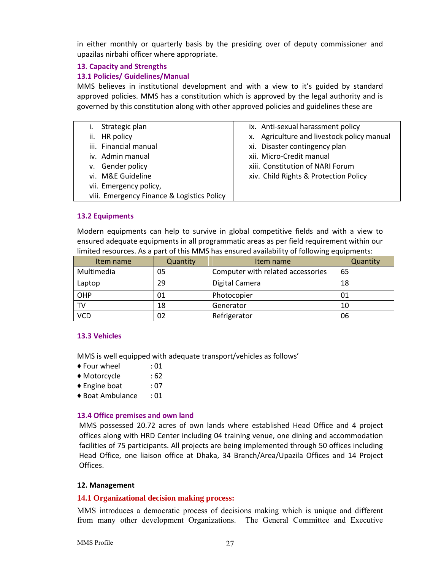in either monthly or quarterly basis by the presiding over of deputy commissioner and upazilas nirbahi officer where appropriate.

# **13. Capacity and Strengths**

# **13.1 Policies/ Guidelines/Manual**

MMS believes in institutional development and with a view to it's guided by standard approved policies. MMS has a constitution which is approved by the legal authority and is governed by this constitution along with other approved policies and guidelines these are

| Strategic plan                             | ix. Anti-sexual harassment policy          |
|--------------------------------------------|--------------------------------------------|
| ii. HR policy                              | x. Agriculture and livestock policy manual |
| iii. Financial manual                      | xi. Disaster contingency plan              |
| iv. Admin manual                           | xii. Micro-Credit manual                   |
| v. Gender policy                           | xiii. Constitution of NARI Forum           |
| vi. M&E Guideline                          | xiv. Child Rights & Protection Policy      |
| vii. Emergency policy,                     |                                            |
| viii. Emergency Finance & Logistics Policy |                                            |

# **13.2 Equipments**

Modern equipments can help to survive in global competitive fields and with a view to ensured adequate equipments in all programmatic areas as per field requirement within our limited resources. As a part of this MMS has ensured availability of following equipments:

| Item name  | Quantity | Item name                         | Quantity |
|------------|----------|-----------------------------------|----------|
| Multimedia | 05       | Computer with related accessories | 65       |
| Laptop     | 29       | Digital Camera                    | 18       |
| OHP        | 01       | Photocopier                       | 01       |
| TV         | 18       | Generator                         | 10       |
| VCD        | 02       | Refrigerator                      | 06       |

# **13.3 Vehicles**

MMS is well equipped with adequate transport/vehicles as follows'

- ◆ Four wheel : 01
- ♦ Motorcycle : 62
- ♦ Engine boat : 07
- ♦ Boat Ambulance : 01

#### **13.4 Office premises and own land**

MMS possessed 20.72 acres of own lands where established Head Office and 4 project offices along with HRD Center including 04 training venue, one dining and accommodation facilities of 75 participants. All projects are being implemented through 50 offices including Head Office, one liaison office at Dhaka, 34 Branch/Area/Upazila Offices and 14 Project Offices.

#### **12. Management**

#### **14.1 Organizational decision making process:**

MMS introduces a democratic process of decisions making which is unique and different from many other development Organizations. The General Committee and Executive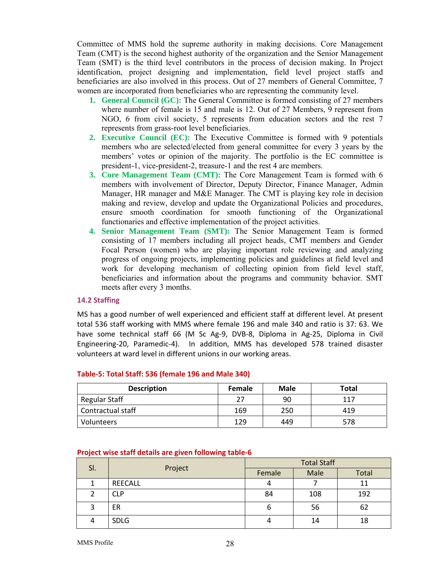Committee of MMS hold the supreme authority in making decisions. Core Management Team (CMT) is the second highest authority of the organization and the Senior Management Team (SMT) is the third level contributors in the process of decision making. In Project identification, project designing and implementation, field level project staffs and beneficiaries are also involved in this process. Out of 27 members of General Committee, 7 women are incorporated from beneficiaries who are representing the community level.

- **1. General Council (GC):** The General Committee is formed consisting of 27 members where number of female is 15 and male is 12. Out of 27 Members, 9 represent from NGO, 6 from civil society, 5 represents from education sectors and the rest 7 represents from grass-root level beneficiaries.
- **2. Executive Council (EC):** The Executive Committee is formed with 9 potentials members who are selected/elected from general committee for every 3 years by the members' votes or opinion of the majority. The portfolio is the EC committee is president-1, vice-president-2, treasure-1 and the rest 4 are members.
- **3. Core Management Team (CMT):** The Core Management Team is formed with 6 members with involvement of Director, Deputy Director, Finance Manager, Admin Manager, HR manager and M&E Manager. The CMT is playing key role in decision making and review, develop and update the Organizational Policies and procedures, ensure smooth coordination for smooth functioning of the Organizational functionaries and effective implementation of the project activities.
- **4. Senior Management Team (SMT):** The Senior Management Team is formed consisting of 17 members including all project heads, CMT members and Gender Focal Person (women) who are playing important role reviewing and analyzing progress of ongoing projects, implementing policies and guidelines at field level and work for developing mechanism of collecting opinion from field level staff, beneficiaries and information about the programs and community behavior. SMT meets after every 3 months.

#### **14.2 Staffing**

MS has a good number of well experienced and efficient staff at different level. At present total 536 staff working with MMS where female 196 and male 340 and ratio is 37: 63. We have some technical staff 66 (M Sc Ag-9, DVB-8, Diploma in Ag-25, Diploma in Civil Engineering‐20, Paramedic‐4). In addition, MMS has developed 578 trained disaster volunteers at ward level in different unions in our working areas.

| <b>Description</b> | <b>Female</b> | <b>Male</b> | Total |
|--------------------|---------------|-------------|-------|
| Regular Staff      | つつ            | 90          | 117   |
| Contractual staff  | 169           | 250         | 419   |
| <b>Volunteers</b>  | 129           | 449         | 578   |

#### **Table‐5: Total Staff: 536 (female 196 and Male 340)**

| SI. | Project        | <b>Total Staff</b> |      |       |
|-----|----------------|--------------------|------|-------|
|     |                | Female             | Male | Total |
|     | <b>REECALL</b> |                    |      | 11    |
|     | CLP            | 84                 | 108  | 192   |
| 3   | ER             | ь                  | 56   | 62    |
|     | <b>SDLG</b>    |                    | 14   | 18    |

#### **Project wise staff details are given following table‐6**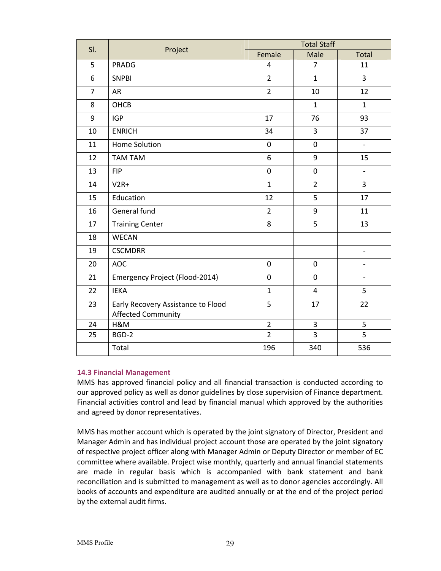| SI.            | Project                                                  | <b>Total Staff</b> |                         |                          |
|----------------|----------------------------------------------------------|--------------------|-------------------------|--------------------------|
|                |                                                          | Female             | Male                    | Total                    |
| 5              | <b>PRADG</b>                                             | 4                  | $\overline{7}$          | 11                       |
| 6              | <b>SNPBI</b>                                             | $\overline{2}$     | $\mathbf{1}$            | 3                        |
| $\overline{7}$ | <b>AR</b>                                                | $\overline{2}$     | 10                      | 12                       |
| 8              | OHCB                                                     |                    | $\mathbf{1}$            | $\mathbf{1}$             |
| 9              | <b>IGP</b>                                               | 17                 | 76                      | 93                       |
| 10             | <b>ENRICH</b>                                            | 34                 | 3                       | 37                       |
| 11             | Home Solution                                            | $\mathbf 0$        | $\pmb{0}$               | $\overline{\phantom{0}}$ |
| 12             | TAM TAM                                                  | 6                  | 9                       | 15                       |
| 13             | <b>FIP</b>                                               | $\mathbf 0$        | $\pmb{0}$               | $\overline{\phantom{0}}$ |
| 14             | $V2R+$                                                   | $\mathbf{1}$       | $\overline{2}$          | 3                        |
| 15             | Education                                                | 12                 | 5                       | 17                       |
| 16             | General fund                                             | $\overline{2}$     | 9                       | 11                       |
| 17             | <b>Training Center</b>                                   | 8                  | 5                       | 13                       |
| 18             | <b>WECAN</b>                                             |                    |                         |                          |
| 19             | <b>CSCMDRR</b>                                           |                    |                         | $\overline{\phantom{0}}$ |
| 20             | <b>AOC</b>                                               | $\mathbf 0$        | $\mathbf 0$             |                          |
| 21             | Emergency Project (Flood-2014)                           | $\mathbf 0$        | $\mathbf 0$             | $\overline{\phantom{0}}$ |
| 22             | <b>IEKA</b>                                              | $\mathbf{1}$       | $\overline{\mathbf{4}}$ | 5                        |
| 23             | Early Recovery Assistance to Flood<br>Affected Community | 5                  | 17                      | 22                       |
| 24             | H&M                                                      | $\overline{2}$     | 3                       | 5                        |
| 25             | BGD-2                                                    | $\overline{2}$     | 3                       | 5                        |
|                | Total                                                    | 196                | 340                     | 536                      |

# **14.3 Financial Management**

MMS has approved financial policy and all financial transaction is conducted according to our approved policy as well as donor guidelines by close supervision of Finance department. Financial activities control and lead by financial manual which approved by the authorities and agreed by donor representatives.

MMS has mother account which is operated by the joint signatory of Director, President and Manager Admin and has individual project account those are operated by the joint signatory of respective project officer along with Manager Admin or Deputy Director or member of EC committee where available. Project wise monthly, quarterly and annual financial statements are made in regular basis which is accompanied with bank statement and bank reconciliation and is submitted to management as well as to donor agencies accordingly. All books of accounts and expenditure are audited annually or at the end of the project period by the external audit firms.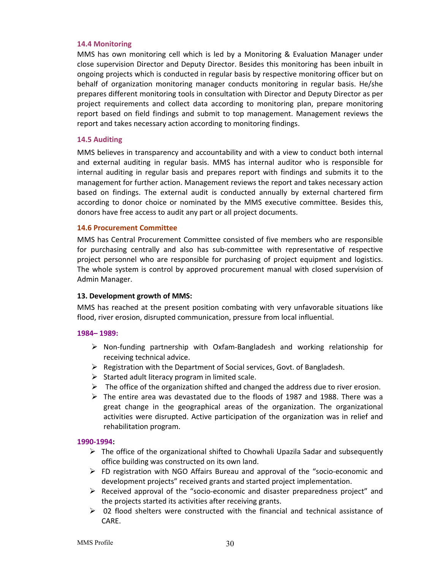### **14.4 Monitoring**

MMS has own monitoring cell which is led by a Monitoring & Evaluation Manager under close supervision Director and Deputy Director. Besides this monitoring has been inbuilt in ongoing projects which is conducted in regular basis by respective monitoring officer but on behalf of organization monitoring manager conducts monitoring in regular basis. He/she prepares different monitoring tools in consultation with Director and Deputy Director as per project requirements and collect data according to monitoring plan, prepare monitoring report based on field findings and submit to top management. Management reviews the report and takes necessary action according to monitoring findings.

# **14.5 Auditing**

MMS believes in transparency and accountability and with a view to conduct both internal and external auditing in regular basis. MMS has internal auditor who is responsible for internal auditing in regular basis and prepares report with findings and submits it to the management for further action. Management reviews the report and takes necessary action based on findings. The external audit is conducted annually by external chartered firm according to donor choice or nominated by the MMS executive committee. Besides this, donors have free access to audit any part or all project documents.

# **14.6 Procurement Committee**

MMS has Central Procurement Committee consisted of five members who are responsible for purchasing centrally and also has sub‐committee with representative of respective project personnel who are responsible for purchasing of project equipment and logistics. The whole system is control by approved procurement manual with closed supervision of Admin Manager.

# **13. Development growth of MMS:**

MMS has reached at the present position combating with very unfavorable situations like flood, river erosion, disrupted communication, pressure from local influential.

# **1984– 1989:**

- $\triangleright$  Non-funding partnership with Oxfam-Bangladesh and working relationship for receiving technical advice.
- $\triangleright$  Registration with the Department of Social services, Govt. of Bangladesh.
- $\triangleright$  Started adult literacy program in limited scale.
- $\triangleright$  The office of the organization shifted and changed the address due to river erosion.
- $\triangleright$  The entire area was devastated due to the floods of 1987 and 1988. There was a great change in the geographical areas of the organization. The organizational activities were disrupted. Active participation of the organization was in relief and rehabilitation program.

# **1990‐1994:**

- $\triangleright$  The office of the organizational shifted to Chowhali Upazila Sadar and subsequently office building was constructed on its own land.
- FD registration with NGO Affairs Bureau and approval of the "socio‐economic and development projects" received grants and started project implementation.
- $\triangleright$  Received approval of the "socio-economic and disaster preparedness project" and the projects started its activities after receiving grants.
- $\triangleright$  02 flood shelters were constructed with the financial and technical assistance of CARE.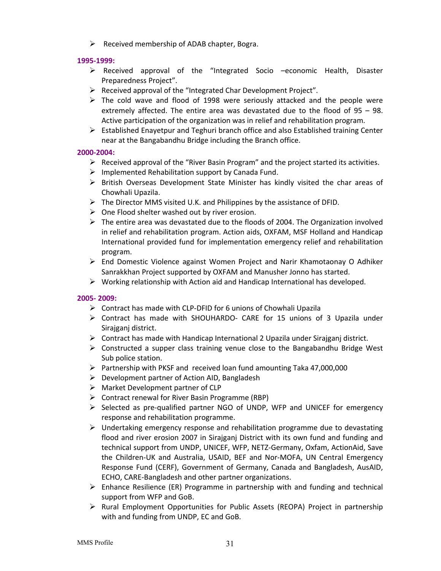$\triangleright$  Received membership of ADAB chapter, Bogra.

# **1995‐1999:**

- Received approval of the "Integrated Socio –economic Health, Disaster Preparedness Project".
- $\triangleright$  Received approval of the "Integrated Char Development Project".
- $\triangleright$  The cold wave and flood of 1998 were seriously attacked and the people were extremely affected. The entire area was devastated due to the flood of 95 – 98. Active participation of the organization was in relief and rehabilitation program.
- Established Enayetpur and Teghuri branch office and also Established training Center near at the Bangabandhu Bridge including the Branch office.

# **2000‐2004:**

- $\triangleright$  Received approval of the "River Basin Program" and the project started its activities.
- $\triangleright$  Implemented Rehabilitation support by Canada Fund.
- $\triangleright$  British Overseas Development State Minister has kindly visited the char areas of Chowhali Upazila.
- $\triangleright$  The Director MMS visited U.K. and Philippines by the assistance of DFID.
- $\triangleright$  One Flood shelter washed out by river erosion.
- $\triangleright$  The entire area was devastated due to the floods of 2004. The Organization involved in relief and rehabilitation program. Action aids, OXFAM, MSF Holland and Handicap International provided fund for implementation emergency relief and rehabilitation program.
- $\triangleright$  End Domestic Violence against Women Project and Narir Khamotaonay O Adhiker Sanrakkhan Project supported by OXFAM and Manusher Jonno has started.
- $\triangleright$  Working relationship with Action aid and Handicap International has developed.

# **2005‐ 2009:**

- Contract has made with CLP‐DFID for 6 unions of Chowhali Upazila
- Contract has made with SHOUHARDO‐ CARE for 15 unions of 3 Upazila under Sirajganj district.
- $\triangleright$  Contract has made with Handicap International 2 Upazila under Sirajganj district.
- $\triangleright$  Constructed a supper class training venue close to the Bangabandhu Bridge West Sub police station.
- $\triangleright$  Partnership with PKSF and received loan fund amounting Taka 47,000,000
- $\triangleright$  Development partner of Action AID, Bangladesh
- Market Development partner of CLP
- Contract renewal for River Basin Programme (RBP)
- Selected as pre‐qualified partner NGO of UNDP, WFP and UNICEF for emergency response and rehabilitation programme.
- $\triangleright$  Undertaking emergency response and rehabilitation programme due to devastating flood and river erosion 2007 in Sirajganj District with its own fund and funding and technical support from UNDP, UNICEF, WFP, NETZ‐Germany, Oxfam, ActionAid, Save the Children‐UK and Australia, USAID, BEF and Nor‐MOFA, UN Central Emergency Response Fund (CERF), Government of Germany, Canada and Bangladesh, AusAID, ECHO, CARE‐Bangladesh and other partner organizations.
- $\triangleright$  Enhance Resilience (ER) Programme in partnership with and funding and technical support from WFP and GoB.
- ▶ Rural Employment Opportunities for Public Assets (REOPA) Project in partnership with and funding from UNDP, EC and GoB.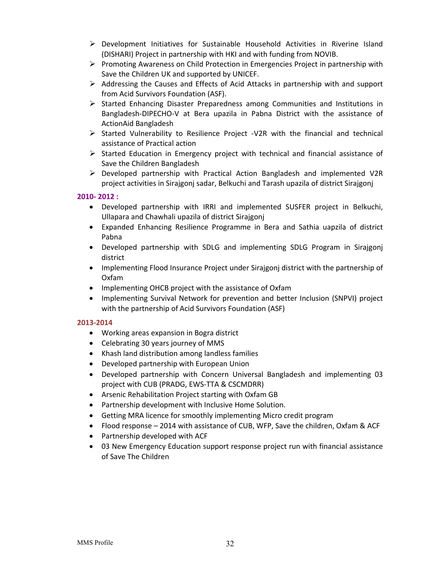- $\triangleright$  Development Initiatives for Sustainable Household Activities in Riverine Island (DISHARI) Project in partnership with HKI and with funding from NOVIB.
- $\triangleright$  Promoting Awareness on Child Protection in Emergencies Project in partnership with Save the Children UK and supported by UNICEF.
- $\triangleright$  Addressing the Causes and Effects of Acid Attacks in partnership with and support from Acid Survivors Foundation (ASF).
- $\triangleright$  Started Enhancing Disaster Preparedness among Communities and Institutions in Bangladesh‐DIPECHO‐V at Bera upazila in Pabna District with the assistance of ActionAid Bangladesh
- $\triangleright$  Started Vulnerability to Resilience Project -V2R with the financial and technical assistance of Practical action
- $\triangleright$  Started Education in Emergency project with technical and financial assistance of Save the Children Bangladesh
- Developed partnership with Practical Action Bangladesh and implemented V2R project activities in Sirajgonj sadar, Belkuchi and Tarash upazila of district Sirajgonj

# **2010‐ 2012 :**

- Developed partnership with IRRI and implemented SUSFER project in Belkuchi, Ullapara and Chawhali upazila of district Sirajgonj
- Expanded Enhancing Resilience Programme in Bera and Sathia uapzila of district Pabna
- Developed partnership with SDLG and implementing SDLG Program in Sirajgonj district
- Implementing Flood Insurance Project under Sirajgonj district with the partnership of Oxfam
- Implementing OHCB project with the assistance of Oxfam
- Implementing Survival Network for prevention and better Inclusion (SNPVI) project with the partnership of Acid Survivors Foundation (ASF)

# **2013‐2014**

- Working areas expansion in Bogra district
- Celebrating 30 years journey of MMS
- Khash land distribution among landless families
- Developed partnership with European Union
- Developed partnership with Concern Universal Bangladesh and implementing 03 project with CUB (PRADG, EWS‐TTA & CSCMDRR)
- Arsenic Rehabilitation Project starting with Oxfam GB
- Partnership development with Inclusive Home Solution.
- Getting MRA licence for smoothly implementing Micro credit program
- Flood response 2014 with assistance of CUB, WFP, Save the children, Oxfam & ACF
- Partnership developed with ACF
- 03 New Emergency Education support response project run with financial assistance of Save The Children